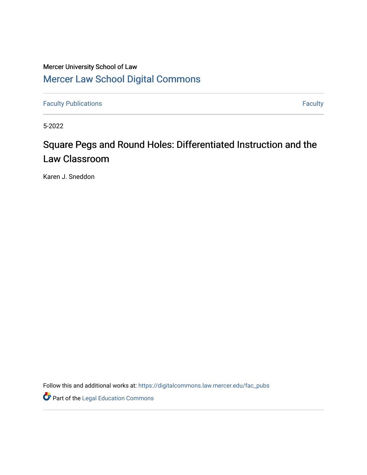## Mercer University School of Law [Mercer Law School Digital Commons](https://digitalcommons.law.mercer.edu/)

[Faculty Publications](https://digitalcommons.law.mercer.edu/fac_pubs) **Faculty Faculty Faculty** 

5-2022

# Square Pegs and Round Holes: Differentiated Instruction and the Law Classroom

Karen J. Sneddon

Follow this and additional works at: [https://digitalcommons.law.mercer.edu/fac\\_pubs](https://digitalcommons.law.mercer.edu/fac_pubs?utm_source=digitalcommons.law.mercer.edu%2Ffac_pubs%2F85&utm_medium=PDF&utm_campaign=PDFCoverPages) 

Part of the [Legal Education Commons](https://network.bepress.com/hgg/discipline/857?utm_source=digitalcommons.law.mercer.edu%2Ffac_pubs%2F85&utm_medium=PDF&utm_campaign=PDFCoverPages)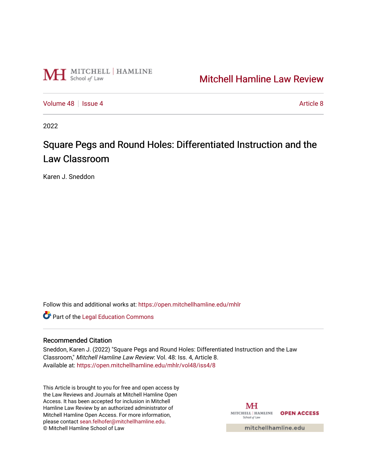

## [Mitchell Hamline Law Review](https://open.mitchellhamline.edu/mhlr)

[Volume 48](https://open.mitchellhamline.edu/mhlr/vol48) | [Issue 4](https://open.mitchellhamline.edu/mhlr/vol48/iss4) [Article 8](https://open.mitchellhamline.edu/mhlr/vol48/iss4/8) Article 8

2022

# Square Pegs and Round Holes: Differentiated Instruction and the Law Classroom

Karen J. Sneddon

Follow this and additional works at: [https://open.mitchellhamline.edu/mhlr](https://open.mitchellhamline.edu/mhlr?utm_source=open.mitchellhamline.edu%2Fmhlr%2Fvol48%2Fiss4%2F8&utm_medium=PDF&utm_campaign=PDFCoverPages) 

Part of the [Legal Education Commons](https://network.bepress.com/hgg/discipline/857?utm_source=open.mitchellhamline.edu%2Fmhlr%2Fvol48%2Fiss4%2F8&utm_medium=PDF&utm_campaign=PDFCoverPages) 

## Recommended Citation

Sneddon, Karen J. (2022) "Square Pegs and Round Holes: Differentiated Instruction and the Law Classroom," Mitchell Hamline Law Review: Vol. 48: Iss. 4, Article 8. Available at: [https://open.mitchellhamline.edu/mhlr/vol48/iss4/8](https://open.mitchellhamline.edu/mhlr/vol48/iss4/8?utm_source=open.mitchellhamline.edu%2Fmhlr%2Fvol48%2Fiss4%2F8&utm_medium=PDF&utm_campaign=PDFCoverPages) 

This Article is brought to you for free and open access by the Law Reviews and Journals at Mitchell Hamline Open Access. It has been accepted for inclusion in Mitchell Hamline Law Review by an authorized administrator of Mitchell Hamline Open Access. For more information, please contact [sean.felhofer@mitchellhamline.edu.](mailto:sean.felhofer@mitchellhamline.edu) © Mitchell Hamline School of Law

МH MITCHELL | HAMLINE OPEN ACCESS School of Law

mitchellhamline.edu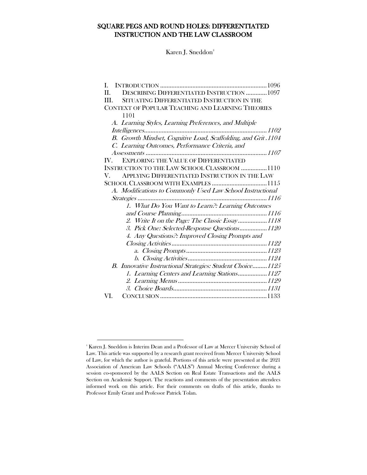## SQUARE PEGS AND ROUND HOLES: DIFFERENTIATED INSTRUCTION AND THE LAW CLASSROOM

Karen J. Sneddo[n‡](#page-2-1)

| L                                                                     |  |
|-----------------------------------------------------------------------|--|
| <b>DESCRIBING DIFFERENTIATED INSTRUCTION  1097</b><br>Н.              |  |
| SITUATING DIFFERENTIATED INSTRUCTION IN THE<br>III.                   |  |
| CONTEXT OF POPULAR TEACHING AND LEARNING THEORIES                     |  |
| 1101                                                                  |  |
| A. Learning Styles, Learning Preferences, and Multiple                |  |
| Intelligences                                                         |  |
| B. Growth Mindset, Cognitive Load, Scaffolding, and Grit.1104         |  |
| C. Learning Outcomes, Performance Criteria, and                       |  |
|                                                                       |  |
| <b>EXPLORING THE VALUE OF DIFFERENTIATED</b><br>$\mathbf{IV}_{\cdot}$ |  |
| INSTRUCTION TO THE LAW SCHOOL CLASSROOM 1110                          |  |
| APPLYING DIFFERENTIATED INSTRUCTION IN THE LAW<br>V.                  |  |
|                                                                       |  |
| A. Modifications to Commonly Used Law School Instructional            |  |
|                                                                       |  |
| 1. What Do You Want to Learn?: Learning Outcomes                      |  |
|                                                                       |  |
| 2. Write It on the Page: The Classic Essay1118                        |  |
| 3. Pick One: Selected-Response Questions1120                          |  |
| 4. Any Questions?: Improved Closing Prompts and                       |  |
|                                                                       |  |
|                                                                       |  |
|                                                                       |  |
| B. Innovative Instructional Strategies: Student Choice 1125           |  |
| 1. Learning Centers and Learning Stations1127                         |  |
|                                                                       |  |
|                                                                       |  |
| VI.                                                                   |  |

<span id="page-2-1"></span><span id="page-2-0"></span> $^{\ast}$  Karen J. Sneddon is Interim Dean and a Professor of Law at Mercer University School of Law. This article was supported by a research grant received from Mercer University School of Law, for which the author is grateful. Portions of this article were presented at the 2021 Association of American Law Schools ("AALS") Annual Meeting Conference during a session co-sponsored by the AALS Section on Real Estate Transactions and the AALS Section on Academic Support. The reactions and comments of the presentation attendees informed work on this article. For their comments on drafts of this article, thanks to Professor Emily Grant and Professor Patrick Tolan.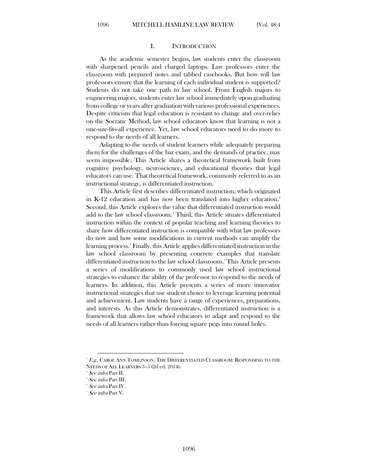#### I. INTRODUCTION

As the academic semester begins, law students enter the classroom with sharpened pencils and charged laptops. Law professors enter the classroom with prepared notes and tabbed casebooks. But how will law professors ensure that the learning of each individual student is supported? Students do not take one path to law school. From English majors to engineering majors, students enter law school immediately upon graduating from college or years after graduation with various professional experiences. Despite criticism that legal education is resistant to change and over-relies on the Socratic Method, law school educators know that learning is not a one-size-fits-all experience. Yet, law school educators need to do more to respond to the needs of all learners.

Adapting to the needs of student learners while adequately preparing them for the challenges of the bar exam, and the demands of practice, may seem impossible. This Article shares a theoretical framework built from cognitive psychology, neuroscience, and educational theories that legal educators can use. That theoretical framework, commonly referred to as an instructional strategy, is differentiated instruction.<sup>[1](#page-3-0)</sup>

This Article first describes differentiated instruction, which originated in K-12 education and has now been translated into higher education. [2](#page-3-1) Second, this Article explores the value that differentiated instruction would add to the law school classroom.[3](#page-3-2) Third, this Article situates differentiated instruction within the context of popular teaching and learning theories to share how differentiated instruction is compatible with what law professors do now and how some modifications in current methods can amplify the learning process.[4](#page-3-3) Finally, this Article applies differentiated instruction in the law school classroom by presenting concrete examples that translate differentiated instruction to the law school classroom.<sup>[5](#page-3-4)</sup> This Article presents a series of modifications to commonly used law school instructional strategies to enhance the ability of the professor to respond to the needs of learners. In addition, this Article presents a series of more innovative instructional strategies that use student choice to leverage learning potential and achievement. Law students have a range of experiences, preparations, and interests. As this Article demonstrates, differentiated instruction is a framework that allows law school educators to adapt and respond to the needs of all learners rather than forcing square pegs into round holes.

<span id="page-3-1"></span><span id="page-3-0"></span> ${}^{\perp}$   $E$ g., Carol Ann Tomlinson, The Differentiated Classroom: Responding to the NEEDS OF ALL LEARNERS 3-5 (2d ed. 2014).

See infra Part II.

<span id="page-3-4"></span><span id="page-3-3"></span><span id="page-3-2"></span> $\degree$   $See$  infra Part III.

<sup>4</sup> See infra Part IV.

<sup>5</sup> See infra Part V.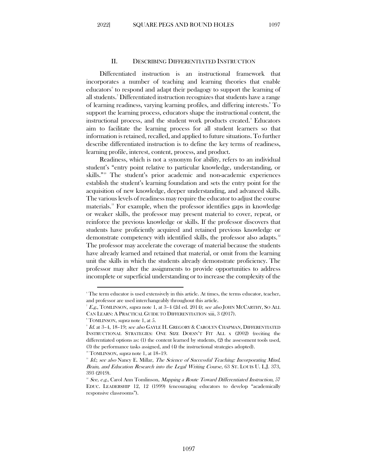#### II. DESCRIBING DIFFERENTIATED INSTRUCTION

<span id="page-4-0"></span>Differentiated instruction is an instructional framework that incorporates a number of teaching and learning theories that enable educators [6](#page-4-1) to respond and adapt their pedagogy to support the learning of all students.[7](#page-4-2) Differentiated instruction recognizes that students have a range of learning readiness, varying learning profiles, and differing interests. To support the learning process, educators shape the instructional content, the instructional process, and the student work products created. Educators aim to facilitate the learning process for all student learners so that information is retained, recalled, and applied to future situations. To further describe differentiated instruction is to define the key terms of readiness, learning profile, interest, content, process, and product.

Readiness, which is not a synonym for ability, refers to an individual student's "entry point relative to particular knowledge, understanding, or skills."[10](#page-4-5) The student's prior academic and non-academic experiences establish the student's learning foundation and sets the entry point for the acquisition of new knowledge, deeper understanding, and advanced skills. The various levels of readiness may require the educator to adjust the course materials.[11](#page-4-6) For example, when the professor identifies gaps in knowledge or weaker skills, the professor may present material to cover, repeat, or reinforce the previous knowledge or skills. If the professor discovers that students have proficiently acquired and retained previous knowledge or demonstrate competency with identified skills, the professor also adapts.<sup>[12](#page-4-7)</sup> The professor may accelerate the coverage of material because the students have already learned and retained that material, or omit from the learning unit the skills in which the students already demonstrate proficiency. The professor may alter the assignments to provide opportunities to address incomplete or superficial understanding or to increase the complexity of the

<span id="page-4-1"></span><sup>6</sup> The term educator is used extensively in this article. At times, the terms educator, teacher, and professor are used interchangeably throughout this article.

<span id="page-4-2"></span> $^7$   $E$ g., TOMLINSON, *supra* note 1, at 3–4 (2d ed. 2014); *see also* JOHN MCCARTHY, SO ALL CAN LEARN: A PRACTICAL GUIDE TO DIFFERENTIATION xiii, 3 (2017).

<sup>&</sup>lt;sup>8</sup> TOMLINSON, *supra* note 1, at 5.

<span id="page-4-4"></span><span id="page-4-3"></span><sup>&</sup>lt;sup>9</sup> Id. at 3-4, 18-19; *see also* GAYLE H. GREGORY & CAROLYN CHAPMAN, DIFFERENTIATED INSTRUCTIONAL STRATEGIES: ONE SIZE DOESN'T FIT ALL x (2002) (reciting the differentiated options as: (1) the content learned by students, (2) the assessment tools used, (3) the performance tasks assigned, and (4) the instructional strategies adopted).

 $10$  TOMLINSON, *supra* note 1, at 18-19.

<span id="page-4-6"></span><span id="page-4-5"></span><sup>&</sup>lt;sup>11</sup> Id.; see also Nancy E. Millar, The Science of Successful Teaching: Incorporating Mind, Brain, and Education Research into the Legal Writing Course, 63 ST. LOUIS U. L.J. 373, 393 (2019).

<span id="page-4-7"></span><sup>&</sup>lt;sup>12</sup> See, e.g., Carol Ann Tomlinson, Mapping a Route Toward Differentiated Instruction, 57 EDUC. LEADERSHIP 12, 12 (1999) (encouraging educators to develop "academically responsive classrooms").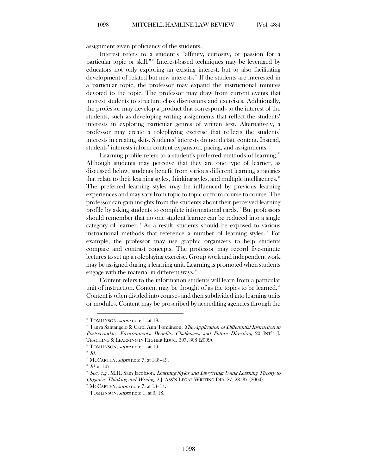assignment given proficiency of the students.

Interest refers to a student's "affinity, curiosity, or passion for a particular topic or skill."[13](#page-5-0) Interest-based techniques may be leveraged by educators not only exploring an existing interest, but to also facilitating development of related but new interests.<sup>[14](#page-5-1)</sup> If the students are interested in a particular topic, the professor may expand the instructional minutes devoted to the topic. The professor may draw from current events that interest students to structure class discussions and exercises. Additionally, the professor may develop a product that corresponds to the interest of the students, such as developing writing assignments that reflect the students' interests in exploring particular genres of written text. Alternatively, a professor may create a roleplaying exercise that reflects the students' interests in creating skits. Students' interests do not dictate content. Instead, students' interests inform content expansion, pacing, and assignments.

Learning profile refers to a student's preferred methods of learning.<sup>[15](#page-5-2)</sup> Although students may perceive that they are one type of learner, as discussed below, students benefit from various different learning strategies that relate to their learning styles, thinking styles, and multiple intelligences.<sup>[16](#page-5-3)</sup> The preferred learning styles may be influenced by previous learning experiences and may vary from topic to topic or from course to course. The professor can gain insights from the students about their perceived learning profile by asking students to complete informational cards.<sup>[17](#page-5-4)</sup> But professors should remember that no one student learner can be reduced into a single category of learner.[18](#page-5-5) As a result, students should be exposed to various instructional methods that reference a number of learning styles.<sup>[19](#page-5-6)</sup> For example, the professor may use graphic organizers to help students compare and contrast concepts. The professor may record five-minute lectures to set up a roleplaying exercise. Group work and independent work may be assigned during a learning unit. Learning is promoted when students engage with the material in different ways. $\frac{20}{3}$  $\frac{20}{3}$  $\frac{20}{3}$ 

Content refers to the information students will learn from a particular unit of instruction. Content may be thought of as the topics to be learned.<sup>[21](#page-5-8)</sup> Content is often divided into courses and then subdivided into learning units or modules. Content may be proscribed by accrediting agencies through the

<span id="page-5-0"></span><sup>&</sup>lt;sup>13</sup> TOMLINSON, *supra* note 1, at 19.

<span id="page-5-1"></span><sup>&</sup>lt;sup>14</sup> Tanya Santangelo & Carol Ann Tomlinson, The Application of Differential Instruction in Postsecondary Environments: Benefits, Challenges, and Future Direction, 20 INT'L J. TEACHING & LEARNING IN HIGHER EDUC. 307, 308 (2009).

 $15$  TOMLINSON, *supra* note 1, at 19.

<span id="page-5-4"></span><span id="page-5-3"></span><span id="page-5-2"></span> $^{16}$   $Id.$ 

<sup>&</sup>lt;sup>17</sup> MCCARTHY, supra note 7, at 148-49.

<span id="page-5-6"></span><span id="page-5-5"></span> $^{\text{\tiny{18}}}$   $\emph{Id.}$  at 147.

 $19$  See, e.g., M.H. Sam Jacobson, Learning Styles and Lawyering: Using Learning Theory to Organize Thinking and Writing, 2 J. ASS'N LEGAL WRITING DIR. 27, 28–37 (2004).

 $20$  MCCARTHY, *supra* note 7, at  $13-14$ .

<span id="page-5-8"></span><span id="page-5-7"></span> $21$  TOMLINSON, *supra* note 1, at 3, 18.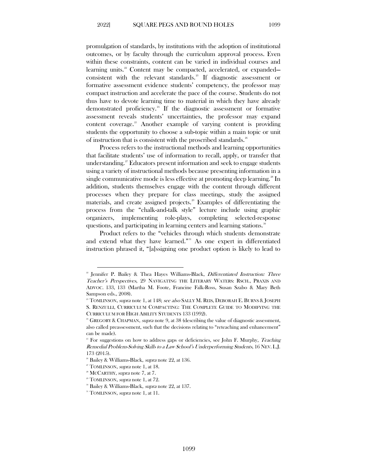promulgation of standards, by institutions with the adoption of institutional outcomes, or by faculty through the curriculum approval process. Even within these constraints, content can be varied in individual courses and learning units. [22](#page-6-0) Content may be compacted, accelerated, or expanded— consistent with the relevant standards.<sup>[23](#page-6-1)</sup> If diagnostic assessment or formative assessment evidence students' competency, the professor may compact instruction and accelerate the pace of the course. Students do not thus have to devote learning time to material in which they have already demonstrated proficiency. [24](#page-6-2) If the diagnostic assessment or formative assessment reveals students' uncertainties, the professor may expand content coverage. $25$  Another example of varying content is providing students the opportunity to choose a sub-topic within a main topic or unit of instruction that is consistent with the proscribed standards. $^{26}$  $^{26}$  $^{26}$ 

Process refers to the instructional methods and learning opportunities that facilitate students' use of information to recall, apply, or transfer that understanding.<sup>[27](#page-6-5)</sup> Educators present information and seek to engage students using a variety of instructional methods because presenting information in a single communicative mode is less effective at promoting deep learning. [28](#page-6-6) In addition, students themselves engage with the content through different processes when they prepare for class meetings, study the assigned materials, and create assigned projects. [29](#page-6-7) Examples of differentiating the process from the "chalk-and-talk style" lecture include using graphic organizers, implementing role-plays, completing selected-response questions, and participating in learning centers and learning stations.<sup>[30](#page-6-8)</sup>

Product refers to the "vehicles through which students demonstrate and extend what they have learned."<sup>[31](#page-6-9)</sup> As one expert in differentiated instruction phrased it, "[a]ssigning one product option is likely to lead to

<span id="page-6-0"></span><sup>&</sup>lt;sup>22</sup> Jennifer P. Bailey & Thea Hayes Williams-Black, *Differentiated Instruction: Three* Teacher's Perspectives, 29 NAVIGATING THE LITERARY WATERS: RSCH., PRAXIS AND ADVOC. 133, 133 (Martha M. Foote, Francine Falk-Ross, Susan Szabo & Mary Beth Sampson eds., 2008).

<span id="page-6-1"></span><sup>&</sup>lt;sup>28</sup> TOMLINSON, supra note 1, at 148; see also SALLY M. REIS, DEBORAH E. BURNS & JOSEPH S. RENZULLI, CURRICULUM COMPACTING: THE COMPLETE GUIDE TO MODIFYING THE CURRICULUM FOR HIGH ABILITY STUDENTS 133 (1992).

<span id="page-6-2"></span><sup>&</sup>lt;sup>24</sup> GREGORY & CHAPMAN, *supra* note 9, at 38 (describing the value of diagnostic assessment, also called preassessment, such that the decisions relating to "reteaching and enhancement" can be made).

<span id="page-6-3"></span><sup>&</sup>lt;sup>25</sup> For suggestions on how to address gaps or deficiencies, see John F. Murphy, Teaching Remedial Problem-Solving Skills to a Law School's Underperforming Students, 16 NEV. L.J. 173 (2015).

<span id="page-6-4"></span><sup>&</sup>lt;sup>26</sup> Bailey & Williams-Black, *supra* note 22, at 136.

<span id="page-6-5"></span> $2^{\pi}$  TOMLINSON, *supra* note 1, at 18.

<span id="page-6-6"></span><sup>&</sup>lt;sup>28</sup> MCCARTHY, *supra* note 7, at 7.

<span id="page-6-8"></span><span id="page-6-7"></span><sup>&</sup>lt;sup>29</sup> TOMLINSON, *supra* note 1, at 72.

<sup>&</sup>lt;sup>30</sup> Bailey & Williams-Black, *supra* note 22, at 137.

<span id="page-6-9"></span> $31$  TOMLINSON, *supra* note 1, at 11.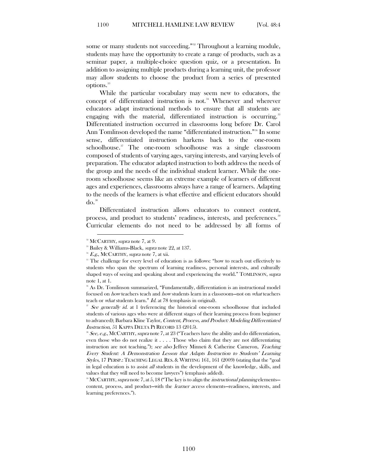some or many students not succeeding."<sup>[32](#page-7-0)</sup> Throughout a learning module, students may have the opportunity to create a range of products, such as a seminar paper, a multiple-choice question quiz, or a presentation. In addition to assigning multiple products during a learning unit, the professor may allow students to choose the product from a series of presented options. [33](#page-7-1)

While the particular vocabulary may seem new to educators, the concept of differentiated instruction is not.<sup>[34](#page-7-2)</sup> Whenever and wherever educators adapt instructional methods to ensure that all students are engaging with the material, differentiated instruction is occurring.<sup>[35](#page-7-3)</sup> Differentiated instruction occurred in classrooms long before Dr. Carol Ann Tomlinson developed the name "differentiated instruction."<sup>[36](#page-7-4)</sup> In some sense, differentiated instruction harkens back to the one-room schoolhouse.<sup>[37](#page-7-5)</sup> The one-room schoolhouse was a single classroom composed of students of varying ages, varying interests, and varying levels of preparation. The educator adapted instruction to both address the needs of the group and the needs of the individual student learner. While the oneroom schoolhouse seems like an extreme example of learners of different ages and experiences, classrooms always have a range of learners. Adapting to the needs of the learners is what effective and efficient educators should  $d\mathrm{o}$ .<sup>[38](#page-7-6)</sup>

Differentiated instruction allows educators to connect content, process, and product to students' readiness, interests, and preferences.<sup>36</sup> Curricular elements do not need to be addressed by all forms of

<span id="page-7-1"></span><span id="page-7-0"></span><sup>&</sup>lt;sup>32</sup> MCCARTHY, *supra* note 7, at 9.

<sup>&</sup>lt;sup>33</sup> Bailey & Williams-Black, *supra* note 22, at 137.

 $E.g., \text{McCARTHY}, \text{supra note 7, at xii.}$ 

<span id="page-7-3"></span><span id="page-7-2"></span><sup>&</sup>lt;sup>35</sup> The challenge for every level of education is as follows: "how to reach out effectively to students who span the spectrum of learning readiness, personal interests, and culturally shaped ways of seeing and speaking about and experiencing the world." TOMLINSON, supra note 1, at 1.

<span id="page-7-4"></span><sup>36</sup> As Dr. Tomlinson summarized, "Fundamentally, differentiation is an instructional model focused on how teachers teach and how students learn in a classroom—not on what teachers teach or what students learn." Id. at 78 (emphasis in original).

<span id="page-7-5"></span>See generally id. at 1 (referencing the historical one-room schoolhouse that included students of various ages who were at different stages of their learning process from beginner to advanced); Barbara Kline Taylor, Content, Process, and Product: Modeling Differentiated Instruction, 51 KAPPA DELTA PI RECORD 13 (2015).

<span id="page-7-6"></span> $\overline{\mathcal{S}}$  See, e.g., MCCARTHY, supra note 7, at 23 ("Teachers have the ability and do differentiation, even those who do not realize it . . . . Those who claim that they are not differentiating instruction are not teaching."); see also Jeffrey Minneti & Catherine Cameron, Teaching Every Student: A Demonstration Lesson that Adapts Instruction to Students' Learning Styles, 17 PERSP.: TEACHING LEGAL RES. & WRITING 161, 161 (2009) (stating that the "goal in legal education is to assist all students in the development of the knowledge, skills, and values that they will need to become lawyers") (emphasis added).

<span id="page-7-7"></span><sup>&</sup>lt;sup>39</sup> MCCARTHY, supra note 7, at 5, 18 ("The key is to align the *instructional planning* elements content, process, and product—with the *learner access* elements—readiness, interests, and learning preferences.").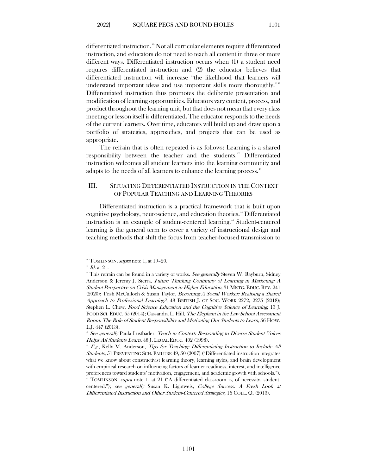differentiated instruction.<sup>[40](#page-8-1)</sup> Not all curricular elements require differentiated instruction, and educators do not need to teach all content in three or more different ways. Differentiated instruction occurs when (1) a student need requires differentiated instruction and (2) the educator believes that differentiated instruction will increase "the likelihood that learners will understand important ideas and use important skills more thoroughly."<sup>[41](#page-8-2)</sup> Differentiated instruction thus promotes the deliberate presentation and modification of learning opportunities. Educators vary content, process, and product throughout the learning unit, but that does not mean that every class meeting or lesson itself is differentiated. The educator responds to the needs of the current learners. Over time, educators will build up and draw upon a portfolio of strategies, approaches, and projects that can be used as appropriate.

The refrain that is often repeated is as follows: Learning is a shared responsibility between the teacher and the students.<sup>[42](#page-8-3)</sup> Differentiated instruction welcomes all student learners into the learning community and adapts to the needs of all learners to enhance the learning process.<sup>[43](#page-8-4)</sup>

## <span id="page-8-0"></span>III. SITUATING DIFFERENTIATED INSTRUCTION IN THE CONTEXT OF POPULAR TEACHING AND LEARNING THEORIES

Differentiated instruction is a practical framework that is built upon cognitive psychology, neuroscience, and education theories.<sup>[44](#page-8-5)</sup> Differentiated instruction is an example of student-centered learning. [45](#page-8-6) Student-centered learning is the general term to cover a variety of instructional design and teaching methods that shift the focus from teacher-focused transmission to

<span id="page-8-2"></span><span id="page-8-1"></span> $*$  TOMLINSON, *supra* note 1, at 19-20.

 $41$  Id. at 21.

<span id="page-8-3"></span><sup>&</sup>lt;sup>42</sup> This refrain can be found in a variety of works. See generally Steven W. Rayburn, Sidney Anderson & Jeremy J. Sierra, Future Thinking Continuity of Learning in Marketing: A Student Perspective on Crisis Management in Higher Education, 31 MKTG. EDUC. REV. 241 (2020); Trish McCulloch & Susan Taylor, Becoming A Social Worker: Realising a Shared Approach to Professional Learning?, 48 BRITISH J. OF SOC. WORK 2272, 2275 (2018); Stephen L. Chew, Food Science Education and the Cognitive Science of Learning, 13 J. FOOD SCI. EDUC. 65 (2014); Cassandra L. Hill, The Elephant in the Law School Assessment Room: The Role of Student Responsibility and Motivating Our Students to Learn, 56 HOW. L.J. 447 (2013).

<span id="page-8-4"></span><sup>&</sup>lt;sup>43</sup> See generally Paula Lustbader, Teach in Context: Responding to Diverse Student Voices Helps All Students Learn, 48 J. LEGAL EDUC. 402 (1998).

<span id="page-8-5"></span> $4E.g.,$  Kelly M. Anderson, *Tips for Teaching: Differentiating Instruction to Include All* Students, 51 PREVENTING SCH. FAILURE 49, 50 (2007) ("Differentiated instruction integrates what we know about constructivist learning theory, learning styles, and brain development with empirical research on influencing factors of learner readiness, interest, and intelligence preferences toward students' motivation, engagement, and academic growth with schools."). 45 TOMLINSON, *supra* note 1, at 21 ("A differentiated classroom is, of necessity, studentcentered."); see generally Susan K. Lightweis, College Success: A Fresh Look at

<span id="page-8-6"></span>Differentiated Instruction and Other Student-Centered Strategies, 16 COLL. Q. (2013).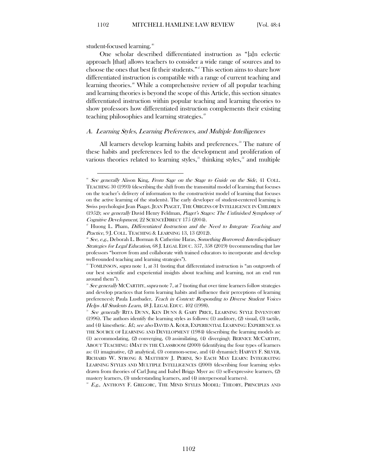student-focused learning.<sup>[46](#page-9-1)</sup>

One scholar described differentiated instruction as "[a]n eclectic approach [that] allows teachers to consider a wide range of sources and to choose the ones that best fit their students."[47](#page-9-2) This section aims to share how differentiated instruction is compatible with a range of current teaching and learning theories.<sup>[48](#page-9-3)</sup> While a comprehensive review of all popular teaching and learning theories is beyond the scope of this Article, this section situates differentiated instruction within popular teaching and learning theories to show professors how differentiated instruction complements their existing teaching philosophies and learning strategies. [49](#page-9-4)

## <span id="page-9-0"></span>A. Learning Styles, Learning Preferences, and Multiple Intelligences

All learners develop learning habits and preferences.<sup>30</sup> The nature of these habits and preferences led to the development and proliferation of various theories related to learning styles, $51$  thinking styles, $52$  and multiple

<span id="page-9-7"></span> $E^2$  E.g., ANTHONY F. GREGORC, THE MIND STYLES MODEL: THEORY, PRINCIPLES AND

<span id="page-9-1"></span> $46$  See generally Alison King, From Sage on the Stage to Guide on the Side, 41 COLL. TEACHING 30 (1993) (describing the shift from the transmittal model of learning that focuses on the teacher's delivery of information to the constructivist model of learning that focuses on the active learning of the students). The early developer of student-centered learning is Swiss psychologist Jean Piaget. JEAN PIAGET, THE ORIGINS OF INTELLIGENCE IN CHILDREN (1952); see generally David Henry Feldman, Piaget's Stages: The Unfinished Symphony of Cognitive Development, 22 SCIENCEDIRECT 175 (2004).

<span id="page-9-2"></span><sup>&</sup>lt;sup>*v*</sup> Huong L. Pham, *Differentiated Instruction and the Need to Integrate Teaching and* Practice, 9 J. COLL. TEACHING & LEARNING 13, 13 (2012).

<span id="page-9-3"></span><sup>&</sup>lt;sup>8</sup> See, e.g., Deborah L. Borman & Catherine Haras, Something Borrowed: Interdisciplinary Strategies for Legal Education, 68 J. LEGAL EDUC. 357, 358 (2019) (recommending that law professors "borrow from and collaborate with trained educators to incorporate and develop well-rounded teaching and learning strategies").

<span id="page-9-4"></span> $\degree$  TOMLINSON, supra note 1, at 31 (noting that differentiated instruction is "an outgrowth of our best scientific and experiential insights about teaching and learning, not an end run around them").

<span id="page-9-5"></span> $\degree$  See generally MCCARTHY, supra note 7, at 7 (noting that over time learners follow strategies and develop practices that form learning habits and influence their perceptions of learning preferences); Paula Lustbader, Teach in Context: Responding to Diverse Student Voices Helps All Students Learn, 48 J. LEGAL EDUC. 402 (1998).

<span id="page-9-6"></span> $515$  See generally RITA DUNN, KEN DUNN & GARY PRICE, LEARNING STYLE INVENTORY (1996). The authors identify the learning styles as follows: (1) auditory, (2) visual, (3) tactile, and (4) kinesthetic. Id.; see also DAVID A. KOLB, EXPERIENTIAL LEARNING: EXPERIENCE AS THE SOURCE OF LEARNING AND DEVELOPMENT (1984) (describing the learning models as: (1) accommodating, (2) converging, (3) assimilating, (4) diverging); BERNICE MCCARTHY, ABOUT TEACHING: 4MAT IN THE CLASSROOM (2000) (identifying the four types of learners as: (1) imaginative, (2) analytical, (3) common-sense, and (4) dynamic); HARVEY F. SILVER, RICHARD W. STRONG & MATTHEW J. PERINI, SO EACH MAY LEARN: INTEGRATING LEARNING STYLES AND MULTIPLE INTELLIGENCES (2000) (describing four learning styles drawn from theories of Carl Jung and Isabel Briggs Myer as: (1) self-expressive learners, (2) mastery learners, (3) understanding learners, and (4) interpersonal learners).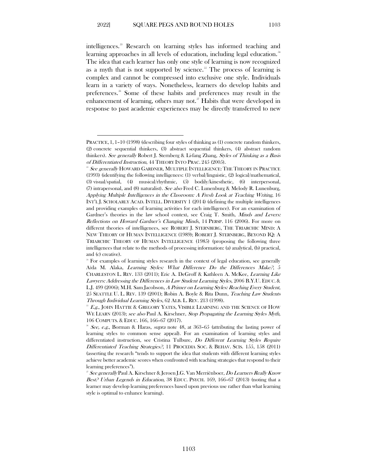intelligences. [53](#page-10-0) Research on learning styles has informed teaching and learning approaches in all levels of education, including legal education.<sup>[54](#page-10-1)</sup> The idea that each learner has only one style of learning is now recognized as a myth that is not supported by science.<sup>55</sup> The process of learning is complex and cannot be compressed into exclusive one style. Individuals learn in a variety of ways. Nonetheless, learners do develop habits and preferences.[56](#page-10-3) Some of these habits and preferences may result in the enhancement of learning, others may not.<sup>37</sup> Habits that were developed in response to past academic experiences may be directly transferred to new

PRACTICE, 1, 1–10 (1998) (describing four styles of thinking as (1) concrete random thinkers, (2) concrete sequential thinkers, (3) abstract sequential thinkers, (4) abstract random thinkers). See generally Robert J. Sternberg & Li-fang Zhang, Styles of Thinking as a Basis of Differentiated Instruction, 44 THEORY INTO PRAC. 245 (2005).

<span id="page-10-0"></span>See generally HOWARD GARDNER, MULTIPLE INTELLIGENCE: THE THEORY IN PRACTICE (1993) (identifying the following intelligences: (1) verbal/linguistic, (2) logical/mathematical, (3) visual/spatial, (4) musical/rhythmic, (5) bodily/kinesthetic, (6) interpersonal, (7) intrapersonal, and (8) naturalist). See also Fred C. Lunenburg & Melody R. Lunenburg, Applying Multiple Intelligences in the Classroom: A Fresh Look at Teaching Writing, 16 INT'L J. SCHOLARLY ACAD. INTELL. DIVERSITY 1 (2014) (defining the multiple intelligences and providing examples of learning activities for each intelligence). For an examination of Gardner's theories in the law school context, see Craig T. Smith, *Minds and Levers:* Reflections on Howard Gardner's Changing Minds, 14 PERSP. 116 (2006). For more on different theories of intelligences, see ROBERT J. STERNBERG, THE TRIARCHIC MIND: A NEW THEORY OF HUMAN INTELLIGENCE (1989); ROBERT J. STERNBERG, BEYOND IQ: A TRIARCHIC THEORY OF HUMAN INTELLIGENCE (1985) (proposing the following three intelligences that relate to the methods of processing information: (a) analytical, (b) practical, and (c) creative).

<span id="page-10-1"></span><sup>&</sup>lt;sup>54</sup> For examples of learning styles research in the context of legal education, see generally Aïda M. Alaka, Learning Styles: What Difference Do the Differences Make?, 5 CHARLESTON L. REV. 133 (2011); Eric A. DeGroff & Kathleen A. McKee, Learning Like Lawyers: Addressing the Differences in Law Student Learning Styles, 2006 B.Y.U. EDUC. & L.J. 499 (2006); M.H. Sam Jacobson, A Primer on Learning Styles: Reaching Every Student, 25 SEATTLE U. L. REV. 139 (2001); Robin A. Boyle & Rita Dunn, Teaching Law Students Through Individual Learning Styles, 62 ALB. L. REV. 213 (1998).

<span id="page-10-2"></span>E.g., JOHN HATTIE & GREGORY YATES, VISIBLE LEARNING AND THE SCIENCE OF HOW WE LEARN (2013); see also Paul A. Kirschner, Stop Propagating the Learning Styles Myth, 106 COMPUTS. & EDUC. 166, 166–67 (2017).

<span id="page-10-3"></span> $56$  See, e.g., Borman & Haras, supra note 48, at 363–65 (attributing the lasting power of learning styles to common sense appeal). For an examination of learning styles and differentiated instruction, see Cristina Tulbure, Do Different Learning Styles Require Differentiated Teaching Strategies?, 11 PROCEDIA SOC. & BEHAV. SCIS. 155, 158 (2011) (asserting the research "tends to support the idea that students with different learning styles achieve better academic scores when confronted with teaching strategies that respond to their learning preferences").

<span id="page-10-4"></span> $\overline{S}^{37}$  See generally Paul A. Kirschner & Jeroen J.G. Van Merriënboer, *Do Learners Really Know* Best? Urban Legends in Education, 38 EDUC. PSYCH. 169, 166-67 (2013) (noting that a learner may develop learning preferences based upon previous use rather than what learning style is optimal to enhance learning).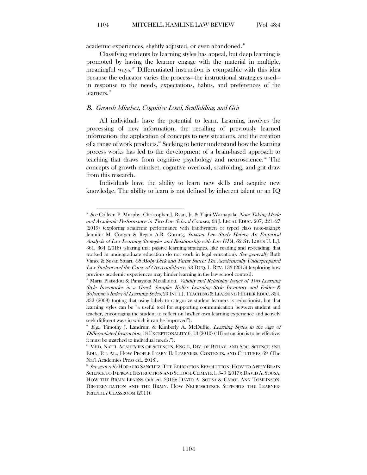academic experiences, slightly adjusted, or even abandoned.<sup>38</sup>

Classifying students by learning styles has appeal, but deep learning is promoted by having the learner engage with the material in multiple, meaningful ways. [59](#page-11-2) Differentiated instruction is compatible with this idea because the educator varies the process—the instructional strategies used in response to the needs, expectations, habits, and preferences of the learners. $\overset{\scriptscriptstyle{60}}{ }$  $\overset{\scriptscriptstyle{60}}{ }$  $\overset{\scriptscriptstyle{60}}{ }$ 

## <span id="page-11-0"></span>B. Growth Mindset, Cognitive Load, Scaffolding, and Grit

All individuals have the potential to learn. Learning involves the processing of new information, the recalling of previously learned information, the application of concepts to new situations, and the creation of a range of work products.<sup>[61](#page-11-4)</sup> Seeking to better understand how the learning process works has led to the development of a brain-based approach to teaching that draws from cognitive psychology and neuroscience.<sup> $\degree$ </sup> The concepts of growth mindset, cognitive overload, scaffolding, and grit draw from this research.

Individuals have the ability to learn new skills and acquire new knowledge. The ability to learn is not defined by inherent talent or an IQ

<span id="page-11-1"></span><sup>&</sup>lt;sup>38</sup> See Colleen P. Murphy, Christopher J. Ryan, Jr. & Yajni Warnapala, Note-Taking Mode and Academic Performance in Two Law School Courses, 68 J. LEGAL EDUC. 207, 221–27 (2019) (exploring academic performance with handwritten or typed class note-taking); Jennifer M. Cooper & Regan A.R. Gurung, Smarter Law Study Habits: An Empirical Analysis of Law Learning Strategies and Relationship with Law GPA, 62 ST. LOUIS U. L.J. 361, 364 (2018) (sharing that passive learning strategies, like reading and re-reading, that worked in undergraduate education do not work in legal education). See generally Ruth Vance & Susan Stuart, Of Moby Dick and Tartar Sauce: The Academically Underprepared Law Student and the Curse of Overconfidence, 53 DUQ. L. REV. 133 (2015) (exploring how previous academic experiences may hinder learning in the law school context).

<span id="page-11-2"></span>Maria Platsidou & Panayiota Metallidou, Validity and Reliability Issues of Two Learning Style Inventories in a Greek Sample: Kolb's Learning Style Inventory and Felder & Soloman's Index of Learning Styles, 20 INT'L J.TEACHING &LEARNING HIGHER EDUC. 324, 332 (2008) (noting that using labels to categorize student learners is reductionist, but that learning styles can be "a useful tool for supporting communication between student and teacher, encouraging the student to reflect on his/her own learning experience and actively seek different ways in which it can be improved").

<span id="page-11-3"></span> $E.g.,$  Timothy J. Landrum & Kimberly A. McDuffie, Learning Styles in the Age of Differentiated Instruction, 18 EXCEPTIONALITY 6, 13 (2010) ("If instruction is to be effective, it must be matched to individual needs.").

<span id="page-11-4"></span><sup>&</sup>lt;sup>61</sup> MED. NAT'L ACADEMIES OF SCIENCES, ENG'G, DIV. OF BEHAV. AND SOC. SCIENCE AND EDU., ET. AL., HOW PEOPLE LEARN II: LEARNERS, CONTEXTS, AND CULTURES 69 (The Nat'l Academies Press ed., 2018).

<span id="page-11-5"></span> $^{\text{\tiny {@}} }$  See generally HORACIO SANCHEZ, THE EDUCATION REVOLUTION: HOW TO APPLY BRAIN SCIENCE TO IMPROVE INSTRUCTION AND SCHOOL CLIMATE 1, 5–9 (2017); DAVID A. SOUSA, HOW THE BRAIN LEARNS (5th ed. 2016); DAVID A. SOUSA & CAROL ANN TOMLINSON, DIFFERENTIATION AND THE BRAIN: HOW NEUROSCIENCE SUPPORTS THE LEARNER-FRIENDLY CLASSROOM (2011).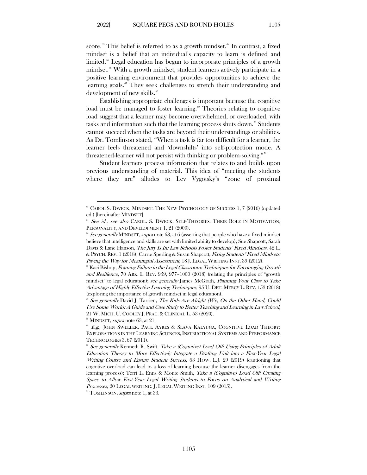score.<sup>[63](#page-12-0)</sup> This belief is referred to as a growth mindset.<sup>[64](#page-12-1)</sup> In contrast, a fixed mindset is a belief that an individual's capacity to learn is defined and limited.<sup>[65](#page-12-2)</sup> Legal education has begun to incorporate principles of a growth mindset.<sup>[66](#page-12-3)</sup> With a growth mindset, student learners actively participate in a positive learning environment that provides opportunities to achieve the learning goals.<sup>[67](#page-12-4)</sup> They seek challenges to stretch their understanding and development of new skills.<sup>[68](#page-12-5)</sup>

Establishing appropriate challenges is important because the cognitive load must be managed to foster learning.® Theories relating to cognitive load suggest that a learner may become overwhelmed, or overloaded, with tasks and information such that the learning process shuts down.<sup>70</sup> Students cannot succeed when the tasks are beyond their understandings or abilities. As Dr. Tomlinson stated, "When a task is far too difficult for a learner, the learner feels threatened and 'downshifts' into self-protection mode. A threatened-learner will not persist with thinking or problem-solving."<sup>[71](#page-12-8)</sup>

Student learners process information that relates to and builds upon previous understanding of material. This idea of "meeting the students where they are" alludes to Lev Vygotsky's "zone of proximal

<span id="page-12-0"></span><sup>&</sup>lt;sup>63</sup> CAROL S. DWECK, MINDSET: THE NEW PSYCHOLOGY OF SUCCESS 1, 7 (2016) (updated ed.) [hereinafter MINDSET].

<span id="page-12-1"></span><sup>&</sup>lt;sup>64</sup> See id.; see also CAROL. S. DWECK, SELF-THEORIES: THEIR ROLE IN MOTIVATION, PERSONALITY, AND DEVELOPMENT 1, 21 (2000).

<span id="page-12-2"></span> $65$  See generally MINDSET, supra note 63, at 6 (asserting that people who have a fixed mindset believe that intelligence and skills are set with limited ability to develop); Sue Shapcott, Sarah Davis & Lane Hanson, The Jury Is In: Law Schools Foster Students' Fixed Mindsets, 42 L. & PSYCH. REV. 1 (2018); Carrie Sperling & Susan Shapcott, Fixing Students' Fixed Mindsets: Paving the Way for Meaningful Assessment, 18 J. LEGAL WRITING INST. 39 (2012).

<span id="page-12-3"></span><sup>&</sup>lt;sup>66</sup> Kaci Bishop, *Framing Failure in the Legal Classroom: Techniques for Encouraging Growth* and Resilience, 70 ARK. L. REV. 959, 977–1000 (2018) (relating the principles of "growth mindset" to legal education); see generally James McGrath, Planning Your Class to Take Advantage of Highly Effective Learning Techniques, 95 U. DET. MERCY L. REV. 153 (2018) (exploring the importance of growth mindset in legal education).

<span id="page-12-4"></span> $\degree$  See generally David J. Tarrien, The Kids Are Alright (We, On the Other Hand, Could Use Some Work): A Guide and Case Study to Better Teaching and Learning in Law School, 21 W. MICH. U. COOLEY J. PRAC. & CLINICAL L. 53 (2020).

<span id="page-12-5"></span><sup>&</sup>lt;sup>68</sup> MINDSET, *supra* note 63, at 21.

<span id="page-12-6"></span>E.g., JOHN SWELLER, PAUL AYRES & SLAVA KALYUGA, COGNITIVE LOAD THEORY: EXPLORATIONS IN THE LEARNING SCIENCES, INSTRUCTIONAL SYSTEMS AND PERFORMANCE TECHNOLOGIES 3, 67 (2011).

<span id="page-12-7"></span><sup>&</sup>lt;sup>70</sup> See generally Kenneth R. Swift, Take a (Cognitive) Load Off: Using Principles of Adult Education Theory to More Effectively Integrate a Drafting Unit into a First-Year Legal Writing Course and Ensure Student Success, 63 HOW. L.J. 29 (2019) (cautioning that cognitive overload can lead to a loss of learning because the learner disengages from the learning process); Terri L. Enns & Monte Smith, Take a (Cognitive) Load Off: Creating Space to Allow First-Year Legal Writing Students to Focus on Analytical and Writing Processes, 20 LEGAL WRITING: J. LEGAL WRITING INST. 109 (2015).

<span id="page-12-8"></span> $n$ <sup>T</sup> TOMLINSON, *supra* note 1, at 33.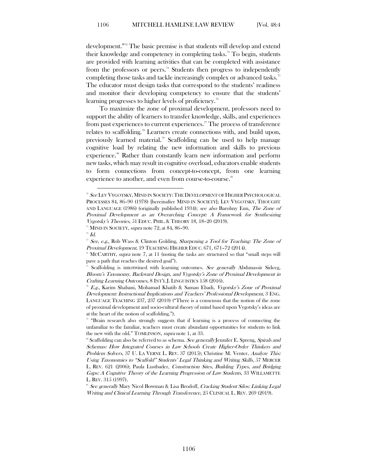development."[72](#page-13-0) The basic premise is that students will develop and extend their knowledge and competency in completing tasks. [73](#page-13-1) To begin, students are provided with learning activities that can be completed with assistance from the professors or peers.<sup>[74](#page-13-2)</sup> Students then progress to independently completing those tasks and tackle increasingly complex or advanced tasks.<sup>[75](#page-13-3)</sup> The educator must design tasks that correspond to the students' readiness and monitor their developing competency to ensure that the students' learning progresses to higher levels of proficiency. [76](#page-13-4)

To maximize the zone of proximal development, professors need to support the ability of learners to transfer knowledge, skills, and experiences from past experiences to current experiences." The process of transference relates to scaffolding.<sup>[78](#page-13-6)</sup> Learners create connections with, and build upon, previously learned material.[79](#page-13-7) Scaffolding can be used to help manage cognitive load by relating the new information and skills to previous experience.<sup>80</sup> Rather than constantly learn new information and perform new tasks, which may result in cognitive overload, educators enable students to form connections from concept-to-concept, from one learning experience to another, and even from course-to-course.<sup>[81](#page-13-9)</sup>

<span id="page-13-0"></span><sup>&</sup>lt;sup>22</sup> See LEV VYGOTSKY, MIND IN SOCIETY: THE DEVELOPMENT OF HIGHER PSYCHOLOGICAL PROCESSES 84, 86–90 (1978) [hereinafter MIND IN SOCIETY]; LEV VYGOTSKY, THOUGHT AND LANGUAGE (1986) (originally published 1934); see also Barohny Eun, The Zone of Proximal Development as an Overarching Concept: A Framework for Synthesizing Vygotsky's Theories, 51 EDUC. PHIL. & THEORY 18, 18–20 (2019).

 $73$  MIND IN SOCIETY, supra note 72, at 84, 86-90.

<span id="page-13-3"></span><span id="page-13-2"></span><span id="page-13-1"></span> $^{74}$  Id.

<sup>&</sup>lt;sup>35</sup> See, e.g., Rob Wass & Clinton Golding, Sharpening a Tool for Teaching: The Zone of Proximal Development, 19 TEACHING HIGHER EDUC. 671, 671–72 (2014).

<span id="page-13-5"></span><span id="page-13-4"></span><sup>&</sup>lt;sup>76</sup> MCCARTHY, *supra* note 7, at 11 (noting the tasks are structured so that "small steps will pave a path that reaches the desired goal").

Scaffolding is intertwined with learning outcomes. See generally Abdunassir Sideeg, Bloom's Taxonomy, Backward Design, and Vygotsky's Zone of Proximal Development in Crafting Learning Outcomes, 8 INT'L J. LINGUISTICS 158 (2016).

<span id="page-13-6"></span> $* E.g.,$  Karim Shabani, Mohamad Khatib & Saman Ebadi, Vygotsky's Zone of Proximal Development: Instructional Implications and Teachers' Professional Development, 3 ENG. LANGUAGE TEACHING 237, 237 (2010) ("There is a consensus that the notion of the zone of proximal development and socio-cultural theory of mind based upon Vygotsky's ideas are at the heart of the notion of scaffolding.").

<span id="page-13-7"></span><sup>79</sup> "Brain research also strongly suggests that if learning is a process of connecting the unfamiliar to the familiar, teachers must create abundant opportunities for students to link the new with the old." TOMLINSON, supra note 1, at 33.

<span id="page-13-8"></span><sup>&</sup>lt;sup>®</sup> Scaffolding can also be referred to as schema. See generally Jennifer E. Spreng, Spirals and Schemas: How Integrated Courses in Law Schools Create Higher-Order Thinkers and Problem Solvers, 37 U. LA VERNE L. REV. 37 (2015); Christine M. Venter, Analyze This: Using Taxonomies to "Scaffold" Students' Legal Thinking and Writing Skills, 57 MERCER L. REV. 621 (2006); Paula Lustbader, Construction Sites, Building Types, and Bridging Gaps: A Cognitive Theory of the Learning Progression of Law Students, 33 WILLAMETTE L. REV. 315 (1997).

<span id="page-13-9"></span><sup>&</sup>lt;sup>81</sup> See generally Mary Nicol Bowman & Lisa Brodoff, *Cracking Student Silos: Linking Legal* Writing and Clinical Learning Through Transference, 25 CLINICAL L. REV. 269 (2019).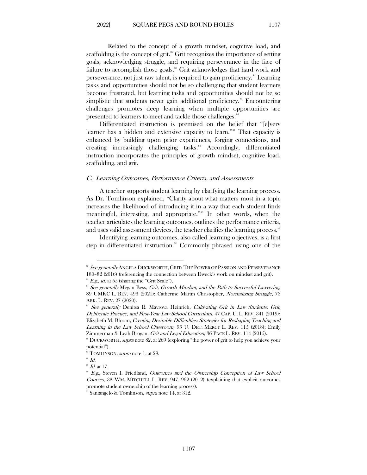Related to the concept of a growth mindset, cognitive load, and scaffolding is the concept of grit.<sup>[82](#page-14-1)</sup> Grit recognizes the importance of setting goals, acknowledging struggle, and requiring perseverance in the face of failure to accomplish those goals. [83](#page-14-2) Grit acknowledges that hard work and perseverance, not just raw talent, is required to gain proficiency. [84](#page-14-3) Learning tasks and opportunities should not be so challenging that student learners become frustrated, but learning tasks and opportunities should not be so simplistic that students never gain additional proficiency.<sup>[85](#page-14-4)</sup> Encountering challenges promotes deep learning when multiple opportunities are presented to learners to meet and tackle those challenges.<sup>[86](#page-14-5)</sup>

Differentiated instruction is premised on the belief that "[e]very learner has a hidden and extensive capacity to learn."<sup>[87](#page-14-6)</sup> That capacity is enhanced by building upon prior experiences, forging connections, and creating increasingly challenging tasks.<sup>[88](#page-14-7)</sup> Accordingly, differentiated instruction incorporates the principles of growth mindset, cognitive load, scaffolding, and grit.

#### <span id="page-14-0"></span>C. Learning Outcomes, Performance Criteria, and Assessments

A teacher supports student learning by clarifying the learning process. As Dr. Tomlinson explained, "Clarity about what matters most in a topic increases the likelihood of introducing it in a way that each student finds meaningful, interesting, and appropriate."<sup>[89](#page-14-8)</sup> In other words, when the teacher articulates the learning outcomes, outlines the performance criteria, and uses valid assessment devices, the teacher clarifies the learning process.<sup>[90](#page-14-9)</sup>

Identifying learning outcomes, also called learning objectives, is a first step in differentiated instruction. $\mathbb{S}^n$  Commonly phrased using one of the

<span id="page-14-1"></span><sup>&</sup>lt;sup>82</sup> See generally ANGELA DUCKWORTH, GRIT: THE POWER OF PASSION AND PERSEVERANCE 180–82 (2016) (referencing the connection between Dweck's work on mindset and grit). <sup>83</sup> E.g., id. at 55 (sharing the "Grit Scale").

<span id="page-14-3"></span><span id="page-14-2"></span>

<sup>&</sup>lt;sup>84</sup> See generally Megan Bess, Grit, Growth Mindset, and the Path to Successful Lawyering, 89 UMKC L. REV. 493 (2021); Catherine Martin Christopher, Normalizing Struggle, 73 ARK. L. REV. 27 (2020).

<span id="page-14-4"></span><sup>&</sup>lt;sup>85</sup> See generally Denitsa R. Mavrova Heinrich, Cultivating Grit in Law Students: Grit, Deliberate Practice, and First-Year Law School Curriculum, 47 CAP. U. L. REV. 341 (2019); Elizabeth M. Bloom, Creating Desirable Difficulties: Strategies for Reshaping Teaching and Learning in the Law School Classroom, 95 U. DET. MERCY L. REV. 115 (2018); Emily Zimmerman & Leah Brogan, Grit and Legal Education, 36 PACE L. REV. 114 (2015).

<span id="page-14-5"></span><sup>&</sup>lt;sup>86</sup> DUCKWORTH, *supra* note 82, at 269 (exploring "the power of grit to help you achieve your potential").

<sup>&</sup>lt;sup>87</sup> TOMLINSON, *supra* note 1, at 29.

<span id="page-14-7"></span><span id="page-14-6"></span> $^{88}$  Id.

 $^{\circ}\,$  Id. at 17.

<span id="page-14-9"></span><span id="page-14-8"></span><sup>&</sup>lt;sup>90</sup> E.g., Steven I. Friedland, Outcomes and the Ownership Conception of Law School Courses, 38 WM. MITCHELL L. REV. 947, 962 (2012) (explaining that explicit outcomes promote student ownership of the learning process).

<span id="page-14-10"></span>Santangelo & Tomlinson, *supra* note 14, at 312.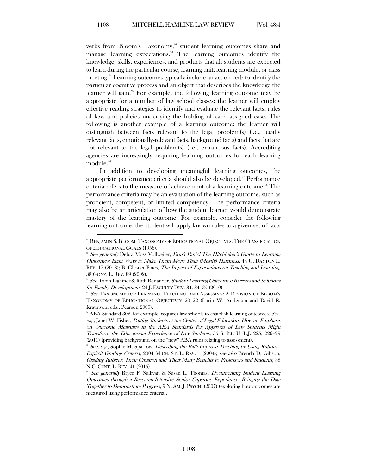verbs from Bloom's Taxonomy,<sup>[92](#page-15-0)</sup> student learning outcomes share and manage learning expectations.<sup>33</sup> The learning outcomes identify the knowledge, skills, experiences, and products that all students are expected to learn during the particular course, learning unit, learning module, or class meeting.<sup>[94](#page-15-2)</sup> Learning outcomes typically include an action verb to identify the particular cognitive process and an object that describes the knowledge the learner will gain.<sup>35</sup> For example, the following learning outcome may be appropriate for a number of law school classes: the learner will employ effective reading strategies to identify and evaluate the relevant facts, rules of law, and policies underlying the holding of each assigned case. The following is another example of a learning outcome: the learner will distinguish between facts relevant to the legal problem(s) (i.e., legally relevant facts, emotionally-relevant facts, background facts) and facts that are not relevant to the legal problem(s) (i.e., extraneous facts). Accrediting agencies are increasingly requiring learning outcomes for each learning module.<sup>[96](#page-15-4)</sup>

In addition to developing meaningful learning outcomes, the appropriate performance criteria should also be developed." Performance criteria refers to the measure of achievement of a learning outcome.<sup>[98](#page-15-6)</sup> The performance criteria may be an evaluation of the learning outcome, such as proficient, competent, or limited competency. The performance criteria may also be an articulation of how the student learner would demonstrate mastery of the learning outcome. For example, consider the following learning outcome: the student will apply known rules to a given set of facts

<span id="page-15-0"></span><sup>92</sup> BENJAMIN S. BLOOM, TAXONOMY OF EDUCATIONAL OBJECTIVES: THE CLASSIFICATION OF EDUCATIONAL GOALS (1956).

<span id="page-15-1"></span><sup>&</sup>lt;sup>93</sup> See generally Debra Moss Vollweiler, Don't Panic! The Hitchhiker's Guide to Learning Outcomes: Eight Ways to Make Them More Than (Mostly) Harmless, 44 U. DAYTON L. REV. 17 (2018); B. Glesner Fines, *The Impact of Expectations on Teaching and Learning*, 38 GONZ. L. REV. 89 (2002).

<span id="page-15-2"></span><sup>&</sup>lt;sup>94</sup> See Robin Lightner & Ruth Benander, Student Learning Outcomes: Barriers and Solutions for Faculty Development, 24 J. FACULTY DEV. 34, 34–35 (2010).<br><sup>95</sup> See TAXONOMY FOR LEARNING, TEACHING, AND ASSESSING: A REVISION OF BLOOM'S

<span id="page-15-3"></span>TAXONOMY OF EDUCATIONAL OBJECTIVES 20–22 (Lorin W. Anderson and David R. Krathwohl eds., Pearson 2000).<br>® ABA Standard 302, for example, requires law schools to establish learning outcomes. See,

<span id="page-15-4"></span>e.g., Janet W. Fisher, Putting Students at the Center of Legal Education: How an Emphasis on Outcome Measures in the ABA Standards for Approval of Law Students Might Transform the Educational Experience of Law Students, 35 S. ILL. U. L.J. 225, 226–29 (2011) (providing background on the "new" ABA rules relating to assessment).

<span id="page-15-5"></span> $\mathscr{S}$  See, e.g., Sophie M. Sparrow, *Describing the Ball: Improve Teaching by Using Rubrics*— Explicit Grading Criteria, 2004 MICH. ST. L. REV. 1 (2004); see also Brenda D. Gibson, Grading Rubrics: Their Creation and Their Many Benefits to Professors and Students, 38 N.C. CENT. L. REV. 41 (2015).

<span id="page-15-6"></span><sup>&</sup>lt;sup>8</sup> See generally Bryce F. Sullivan & Susan L. Thomas, *Documenting Student Learning* Outcomes through a Research-Intensive Senior Capstone Experience: Bringing the Data Together to Demonstrate Progress, 9 N. AM. J. PSYCH. (2007) (exploring how outcomes are measured using performance criteria).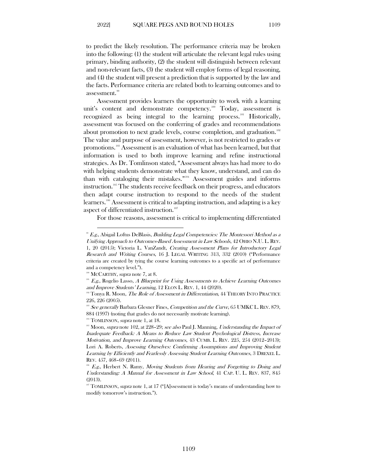to predict the likely resolution. The performance criteria may be broken into the following: (1) the student will articulate the relevant legal rules using primary, binding authority, (2) the student will distinguish between relevant and non-relevant facts, (3) the student will employ forms of legal reasoning, and (4) the student will present a prediction that is supported by the law and the facts. Performance criteria are related both to learning outcomes and to assessment.<sup>[99](#page-16-0)</sup>

Assessment provides learners the opportunity to work with a learning unit's content and demonstrate competency.<sup>[100](#page-16-1)</sup> Today, assessment is recognized as being integral to the learning process.<sup>[101](#page-16-2)</sup> Historically, assessment was focused on the conferring of grades and recommendations about promotion to next grade levels, course completion, and graduation.<sup>[102](#page-16-3)</sup> The value and purpose of assessment, however, is not restricted to grades or promotions.[103](#page-16-4) Assessment is an evaluation of what has been learned, but that information is used to both improve learning and refine instructional strategies. As Dr. Tomlinson stated, "Assessment always has had more to do with helping students demonstrate what they know, understand, and can do than with cataloging their mistakes."[104](#page-16-5) Assessment guides and informs instruction.<sup>[105](#page-16-6)</sup> The students receive feedback on their progress, and educators then adapt course instruction to respond to the needs of the student learners.[106](#page-16-7) Assessment is critical to adapting instruction, and adapting is a key aspect of differentiated instruction.<sup>107</sup>

For those reasons, assessment is critical to implementing differentiated

<span id="page-16-5"></span> $104$  TOMLINSON, *supra* note 1, at 18.

<span id="page-16-0"></span> $E.g.,$  Abigail Loftus DeBlasis, *Building Legal Competencies: The Montessori Method as a* Unifying Approach to Outcomes-Based Assessment in Law Schools, 42 OHIO N.U. L. REV. 1, 20 (2015); Victoria L. VanZandt, Creating Assessment Plans for Introductory Legal Research and Writing Courses, 16 J. LEGAL WRITING 313, 332 (2010) ("Performance criteria are created by tying the course learning outcomes to a specific act of performance and a competency level.").

 $100$  MCCARTHY, *supra* note 7, at 8.

<span id="page-16-2"></span><span id="page-16-1"></span> $101$  E.g., Rogelio Lasso, A Blueprint for Using Assessments to Achieve Learning Outcomes and Improve Students' Learning, 12 ELON L. REV. 1, 44 (2020).<br><sup>102</sup> Tonya R. Moon, *The Role of Assessment in Differentiation*, 44 THEORY INTO PRACTICE

<span id="page-16-3"></span><sup>226, 226 (2005).</sup>

<span id="page-16-4"></span> $103$  See generally Barbara Glesner Fines, Competition and the Curve, 65 UMKCL. REV. 879, 884 (1997) (noting that grades do not necessarily motivate learning).

<span id="page-16-6"></span><sup>&</sup>lt;sup>105</sup> Moon, *supra* note 102, at 228–29; see also Paul J. Manning, Understanding the Impact of Inadequate Feedback: A Means to Reduce Law Student Psychological Distress, Increase Motivation, and Improve Learning Outcomes, 43 CUMB. L. REV. 225, 254 (2012–2013); Lori A. Roberts, Assessing Ourselves: Confirming Assumptions and Improving Student Learning by Efficiently and Fearlessly Assessing Student Learning Outcomes, 3 DREXEL L. REV. 457, 468–69 (2011).

<span id="page-16-7"></span> $10<sup>6</sup>$  E.g., Herbert N. Ramy, Moving Students from Hearing and Forgetting to Doing and Understanding: A Manual for Assessment in Law School, 41 CAP. U. L. REV. 837, 845 (2013).

<span id="page-16-8"></span><sup>&</sup>lt;sup>107</sup> TOMLINSON, *supra* note 1, at 17 (" $[A]$ ssessment is today's means of understanding how to modify tomorrow's instruction.").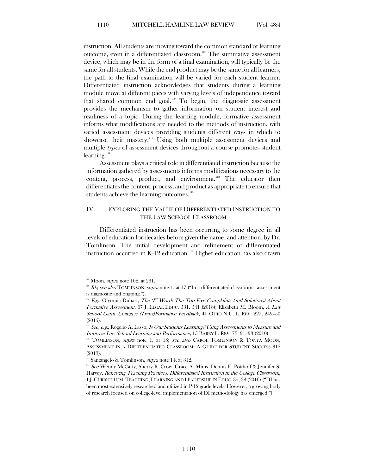instruction. All students are moving toward the common standard or learning outcome, even in a differentiated classroom.<sup>[108](#page-17-1)</sup> The summative assessment device, which may be in the form of a final examination, will typically be the same for all students.While the end product may be the same for all learners, the path to the final examination will be varied for each student learner. Differentiated instruction acknowledges that students during a learning module move at different paces with varying levels of independence toward that shared common end goal.<sup>[109](#page-17-2)</sup> To begin, the diagnostic assessment provides the mechanism to gather information on student interest and readiness of a topic. During the learning module, formative assessment informs what modifications are needed to the methods of instruction, with varied assessment devices providing students different ways in which to showcase their mastery.<sup>[110](#page-17-3)</sup> Using both multiple assessment devices and multiple types of assessment devices throughout a course promotes student learning.<sup>[111](#page-17-4)</sup>

Assessment plays a critical role in differentiated instruction because the information gathered by assessments informs modifications necessary to the content, process, product, and environment.<sup>[112](#page-17-5)</sup> The educator then differentiates the content, process, and product as appropriate to ensure that students achieve the learning outcomes.<sup>[113](#page-17-6)</sup>

## <span id="page-17-0"></span>IV. EXPLORING THE VALUE OF DIFFERENTIATED INSTRUCTION TO THE LAW SCHOOL CLASSROOM

Differentiated instruction has been occurring to some degree in all levels of education for decades before given the name, and attention, by Dr. Tomlinson. The initial development and refinement of differentiated instruction occurred in K-12 education. [114](#page-17-7) Higher education has also drawn

<span id="page-17-1"></span> $108$  Moon, *supra* note 102, at 231.

<span id="page-17-2"></span><sup>&</sup>lt;sup>109</sup> Id.; see also TOMLINSON, supra note 1, at 17 ("In a differentiated classrooms, assessment is diagnostic and ongoing.").

<span id="page-17-3"></span> $110$  E.g., Olympia Duhart, The 'F' Word: The Top Five Complaints (and Solutions) About Formative Assessment, 67 J. LEGAL EDUC. 531, 541 (2018); Elizabeth M. Bloom, A Law School Game Changer: (Trans)Formative Feedback, 41 OHIO N.U. L. REV. 227, 249–50 (2015).

<span id="page-17-4"></span> $111$  See, e.g., Rogelio A. Lasso, Is Our Students Learning? Using Assessments to Measure and Improve Law School Learning and Performance, 15 BARRY L. REV. 73, 91–93 (2010).

<span id="page-17-5"></span><sup>&</sup>lt;sup>112</sup> TOMLINSON, *supra* note 1, at 18; see also CAROL TOMLINSON & TONYA MOON, ASSESSMENT IN A DIFFERENTIATED CLASSROOM: A GUIDE FOR STUDENT SUCCESS 312 (2013).

<sup>&</sup>lt;sup>113</sup> Santangelo & Tomlinson, *supra* note 14, at 312.

<span id="page-17-7"></span><span id="page-17-6"></span><sup>&</sup>lt;sup>114</sup> See Wendy McCarty, Sherry R. Crow, Grace A. Mims, Dennis E. Potthoff & Jennifer S. Harvey, Renewing Teaching Practices: Differentiated Instruction in the College Classroom, 1 J. CURRICULUM, TEACHING, LEARNING AND LEADERSHIP IN EDUC. 35, 38 (2016) ("DI has been most extensively researched and utilized in P-12 grade levels. However, a growing body of research focused on college-level implementation of DI methodology has emerged.").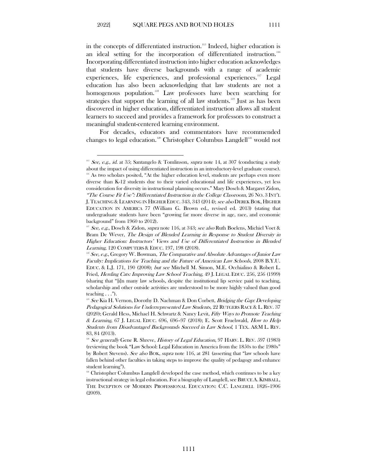in the concepts of differentiated instruction. [115](#page-18-0) Indeed, higher education is an ideal setting for the incorporation of differentiated instruction.<sup>[116](#page-18-1)</sup> Incorporating differentiated instruction into higher education acknowledges that students have diverse backgrounds with a range of academic experiences, life experiences, and professional experiences.<sup>[117](#page-18-2)</sup> Legal education has also been acknowledging that law students are not a homogenous population.<sup>[118](#page-18-3)</sup> Law professors have been searching for strategies that support the learning of all law students.<sup>[119](#page-18-4)</sup> Just as has been discovered in higher education, differentiated instruction allows all student learners to succeed and provides a framework for professors to construct a meaningful student-centered learning environment.

For decades, educators and commentators have recommended changes to legal education.<sup>[120](#page-18-5)</sup> Christopher Columbus Langdell<sup>[121](#page-18-6)</sup> would not

<span id="page-18-1"></span><span id="page-18-0"></span><sup>&</sup>lt;sup>115</sup> See, e.g., id. at 35; Santangelo & Tomlinson, *supra* note 14, at 307 (conducting a study about the impact of using differentiated instruction in an introductory-level graduate course). <sup>116</sup> As two scholars posited, "At the higher education level, students are perhaps even more diverse than K-12 students due to their varied educational and life experiences, yet less consideration for diversity in instructional planning occurs." Mary Dosch & Margaret Zidon, "The Course Fit Use": Differentiated Instruction in the College Classroom, 26 NO. 3 INT'L J.TEACHING & LEARNING IN HIGHER EDUC. 343, 343 (2014); see also DEREK BOK, HIGHER EDUCATION IN AMERICA 77 (William G. Brown ed., revised ed. 2013) (stating that undergraduate students have been "growing far more diverse in age, race, and economic background" from 1960 to 2012).

<span id="page-18-2"></span><sup>&</sup>lt;sup>117</sup> See, e.g., Dosch & Zidon, *supra* note 116, at 343; see also Ruth Boelens, Michiel Voet & Bram De Wever, The Design of Blended Learning in Response to Student Diversity in Higher Education: Instructors' Views and Use of Differentiated Instruction in Blended Learning, 120 COMPUTERS & EDUC. 197, 198 (2018).

<span id="page-18-3"></span> $118$  See, e.g., Gregory W. Bowman, The Comparative and Absolute Advantages of Junior Law Faculty: Implications for Teaching and the Future of American Law Schools, 2008 B.Y.U. EDUC. & L.J. 171, 190 (2008); but see Mitchell M. Simon, M.E. Occhialino & Robert L. Fried, Herding Cats: Improving Law School Teaching, 49 J. LEGAL EDUC. 256, 256 (1999) (sharing that "[i]n many law schools, despite the institutional lip service paid to teaching, scholarship and other outside activities are understood to be more highly valued than good teaching . . .").

<span id="page-18-4"></span><sup>&</sup>lt;sup>119</sup> See Kia H. Vernon, Dorothy D. Nachman & Don Corbett, Bridging the Gap: Developing Pedagogical Solutions for Underrepresented Law Students, 22 RUTGERS RACE & L. REV. 37 (2020); Gerald Hess, Michael H. Schwartz & Nancy Levit, Fifty Ways to Promote Teaching & Learning, 67 J. LEGAL EDUC. 696, 696–97 (2018); E. Scott Fruehwald, How to Help Students from Disadvantaged Backgrounds Succeed in Law School, 1 TEX. A&M L. REV. 83, 84 (2013).

<span id="page-18-5"></span><sup>&</sup>lt;sup>120</sup> See generally Gene R. Shreve, History of Legal Education, 97 HARV. L. REV. 597 (1983) (reviewing the book "Law School: Legal Education in America from the 1850s to the 1980s" by Robert Stevens). See also BOK, supra note 116, at 281 (asserting that "law schools have fallen behind other faculties in taking steps to improve the quality of pedagogy and enhance student learning").

<span id="page-18-6"></span> $121$  Christopher Columbus Langdell developed the case method, which continues to be a key instructional strategy in legal education. For a biography of Langdell, see BRUCE A. KIMBALL, THE INCEPTION OF MODERN PROFESSIONAL EDUCATION: C.C. LANGDELL 1826–1906 (2009).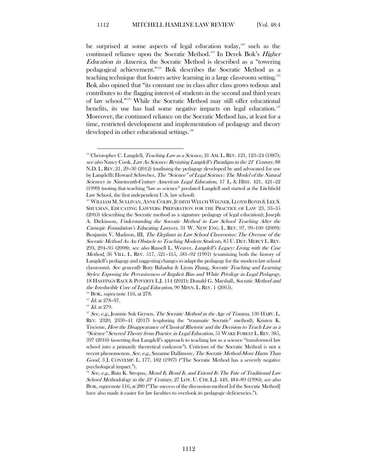be surprised at some aspects of legal education today, $122$  such as the continued reliance upon the Socratic Method.<sup>[123](#page-19-1)</sup> In Derek Bok's *Higher* Education in America, the Socratic Method is described as a "towering pedagogical achievement."[124](#page-19-2) Bok describes the Socratic Method as a teaching technique that fosters active learning in a large classroom setting.<sup>[125](#page-19-3)</sup> Bok also opined that "its constant use in class after class grows tedious and contributes to the flagging interest of students in the second and third years of law school."[126](#page-19-4) While the Socratic Method may still offer educational benefits, its use has had some negative impacts on legal education.<sup>[127](#page-19-5)</sup> Moreover, the continued reliance on the Socratic Method has, at least for a time, restricted development and implementation of pedagogy and theory developed in other educational settings.<sup>[128](#page-19-6)</sup>

<span id="page-19-2"></span>

<span id="page-19-3"></span> $^{126}$  *Id.* at 279.

<span id="page-19-0"></span><sup>&</sup>lt;sup>122</sup> Christopher C. Langdell, *Teaching Law as a Science*, 21 AM. L. REV. 121, 123-24 (1887); see also Nancy Cook, Law As Science: Revisiting Langdell's Paradigm in the 21<sup>st</sup> Century, 88 N.D. L. REV. 21, 29–30 (2012) (outlining the pedagogy developed by and advocated for use by Langdell); Howard Schweber, *The "Science" of Legal Science: The Model of the Natural* Sciences in Nineteenth-Century American Legal Education, 17 L. & HIST. 421, 421–22 (1999) (noting that teaching "law as science" predated Langdell and started at the Litchfield Law School, the first independent U.S. law school).

<span id="page-19-1"></span><sup>&</sup>lt;sup>123</sup> WILLIAM M. SULLIVAN, ANNE COLBY, JUDITH WELCH WEGNER, LLOYD BOND & LEE S. SHULMAN, EDUCATING LAWYERS: PREPARATION FOR THE PRACTICE OF LAW 23, 33–35 (2005) (describing the Socratic method as a signature pedagogy of legal education); Joseph A. Dickinson, Understanding the Socratic Method in Law School Teaching After the Carnegie Foundation's Educating Lawyers, 31 W. NEW ENG. L. REV. 97, 99–100 (2009); Benjamin V. Madison, III, The Elephant in Law School Classrooms: The Overuse of the Socratic Method As An Obstacle to Teaching Modern Students, 85 U. DET. MERCY L. REV. 293, 294–95 (2008); see also Russell L. Weaver, Langdell's Legacy: Living with the Case Method, 36 VILL. L. REV. 517, 521–415, 581–92 (1991) (examining both the history of Langdell's pedagogy and suggesting changes to adapt the pedagogy for the modern law school classroom). See generally Rory Bahadur & Liyun Zhang, Socratic Teaching and Learning Styles: Exposing the Pervasiveness of Implicit Bias and White Privilege in Legal Pedagogy, 18 HASTINGS RACE & POVERTY L.J. 114 (2021); Donald G. Marshall, Socratic Method and the Irreducible Core of Legal Education, 90 MINN. L. REV. 1 (2005).<br><sup>124</sup> BOK, *supra* note 116, at 278.<br><sup>125</sup> Id. at 278–97.

<span id="page-19-5"></span><span id="page-19-4"></span> $127$  See, e.g., Jeannie Suk Gersen, The Socratic Method in the Age of Trauma, 130 HARV. L. REV. 2320, 2330–41 (2017) (exploring the "traumatic Socratic" method); Kristen K. Tiscione, How the Disappearance of Classical Rhetoric and the Decision to Teach Law as a "Science" Severed Theory from Practice in Legal Education, 51 WAKE FOREST L. REV. 385, 397 (2016) (asserting that Langdell's approach to teaching law as a science "transformed law school into a primarily theoretical endeavor"). Criticism of the Socratic Method is not a recent phenomenon. See, e.g., Suzanne Dallimore, The Socratic Method-More Harm Than Good, 3 J. CONTEMP. L. 177, 182 (1997) ("The Socratic Method has a severely negative psychological impact.").

<span id="page-19-6"></span>See, e.g., Ruta K. Stropus, Mend It, Bend It, and Extend It: The Fate of Traditional Law School Methodology in the 21<sup>s</sup> Century, 27 LOY. U. CHI. L.J. 449, 484–89 (1996); see also BOK, supra note 116, at 280 ("The success of the discussion method [of the Socratic Method] have also made it easier for law faculties to overlook its pedagogic deficiencies.").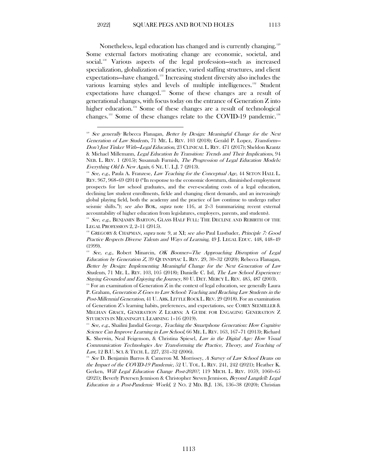Nonetheless, legal education has changed and is currently changing. [129](#page-20-0) Some external factors motivating change are economic, societal, and social.[130](#page-20-1) Various aspects of the legal profession—such as increased specialization, globalization of practice, varied staffing structures, and client expectations—have changed.[131](#page-20-2) Increasing student diversity also includes the various learning styles and levels of multiple intelligences.<sup>[132](#page-20-3)</sup> Student expectations have changed.[133](#page-20-4) Some of these changes are a result of generational changes, with focus today on the entrance of Generation Z into higher education.<sup>[134](#page-20-5)</sup> Some of these changes are a result of technological changes.<sup>[135](#page-20-6)</sup> Some of these changes relate to the COVID-19 pandemic.<sup>[136](#page-20-7)</sup>

<span id="page-20-0"></span><sup>&</sup>lt;sup>129</sup> See generally Rebecca Flanagan, Better by Design: Meaningful Change for the Next Generation of Law Students, 71 ME. L. REV. 103 (2018); Gerald P. Lopez, Transform-Don't Just Tinker With—Legal Education, 23 CLINICAL L. REV. 471 (2017); Sheldon Krantz & Michael Millemann, Legal Education In Transition: Trends and Their Implications, 94 NEB. L. REV. 1 (2015); Susannah Furnish, The Progression of Legal Education Models: Everything Old Is New Again, 6 NE. U. L.J. 7 (2013).

<span id="page-20-1"></span><sup>&</sup>lt;sup>33</sup> See, e.g., Paula A. Franzese, *Law Teaching for the Conceptual Age*, 44 SETON HALL L. REV. 967, 968–69 (2014) ("In response to the economic downturn, diminished employment prospects for law school graduates, and the ever-escalating costs of a legal education, declining law student enrollments, fickle and changing client demands, and an increasingly global playing field, both the academy and the practice of law continue to undergo rather seismic shifts."); see also BOK, supra note 116, at 2–3 (summarizing recent external accountability of higher education from legislatures, employers, parents, and students).

<span id="page-20-2"></span> $131$  See, e.g., BENJAMIN BARTON, GLASS HALF FULL: THE DECLINE AND REBIRTH OF THE LEGAL PROFESSION 2, 2–11 (2015).

<span id="page-20-3"></span><sup>&</sup>lt;sup>132</sup> GREGORY & CHAPMAN, *supra* note 9, at XI; see also Paul Lustbader, *Principle 7: Good* Practice Respects Diverse Talents and Ways of Learning, 49 J. LEGAL EDUC. 448, 448–49 (1999).

<span id="page-20-4"></span><sup>&</sup>lt;sup>33</sup> See, e.g., Robert Minarcin, OK Boomer–The Approaching Disruption of Legal Education by Generation Z, 39 QUINNIPIAC L. REV. 29, 30–32 (2020); Rebecca Flanagan, Better by Design: Implementing Meaningful Change for the Next Generation of Law Students, 71 ME. L. REV. 103, 105 (2018); Danielle C. Istl, *The Law School Experience:* Staying Grounded and Enjoying the Journey, 80 U. DET. MERCY L. REV. 485, 487 (2003).

<span id="page-20-5"></span> $134$  For an examination of Generation Z in the context of legal education, see generally Laura P. Graham, Generation Z Goes to Law School: Teaching and Reaching Law Students in the Post-Millennial Generation, 41 U. ARK. LITTLE ROCK L. REV. 29 (2018). For an examination of Generation Z's learning habits, preferences, and expectations, see COREY SEEMILLER & MEGHAN GRACE, GENERATION Z LEARNS: A GUIDE FOR ENGAGING GENERATION Z STUDENTS IN MEANINGFUL LEARNING 1–16 (2019).<br><sup>135</sup> See, e.g., Shailini Jandial George, *Teaching the Smartphone Generation: How Cognitive* 

<span id="page-20-6"></span>Science Can Improve Learning in Law School, 66 ME. L. REV. 163, 167–71 (2013); Richard K. Sherwin, Neal Feigenson, & Christina Spiesel, Law in the Digital Age: How Visual Communication Technologies Are Transforming the Practice, Theory, and Teaching of Law, 12 B.U. SCI. & TECH. L. 227, 231–32 (2006).

<span id="page-20-7"></span><sup>&</sup>lt;sup>136</sup> See D. Benjamin Barros & Cameron M. Morrissey, A Survey of Law School Deans on the Impact of the COVID-19 Pandemic, 52 U. TOL. L. REV. 241, 242 (2021); Heather K. Gerken, Will Legal Education Change Post-2020?, 119 MICH. L. REV. 1059, 1060–65 (2021); Beverly Petersen Jennison & Christopher Steven Jennison, *Beyond Langdell: Legal* Education in a Post-Pandemic World,  $2$  No.  $2$  MD. B.J. 136, 136–38 (2020); Christian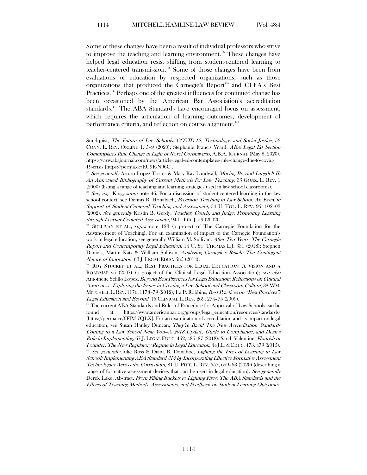Some of these changes have been a result of individual professors who strive to improve the teaching and learning environment.<sup>[137](#page-21-0)</sup> These changes have helped legal education resist shifting from student-centered learning to teacher-centered transmission.<sup>[138](#page-21-1)</sup> Some of those changes have been from evaluations of education by respected organizations, such as those organizations that produced the Carnegie's Report<sup>[139](#page-21-2)</sup> and CLEA's Best Practices.<sup>[140](#page-21-3)</sup> Perhaps one of the greatest influences for continued change has been occasioned by the American Bar Association's accreditation standards.<sup>[141](#page-21-4)</sup> The ABA Standards have encouraged focus on assessment, which requires the articulation of learning outcomes, development of performance criteria, and reflection on course alignment.<sup>[142](#page-21-5)</sup>

Sundquist, The Future of Law Schools: COVID-19, Technology, and Social Justice, 53 CONN. L. REV. ONLINE 1, 5–9 (2020); Stephanie Francis Ward, ABA Legal Ed Section Contemplates Rule Change in Light of Novel Coronavirus, A.B.A. JOURNAL (May 8, 2020), https://www.abajournal.com/news/article/legal-ed-contemplates-rule-change-due-to-covid-19-crisis [https://perma.cc/EU9R-N96C].

<span id="page-21-0"></span><sup>&</sup>lt;sup>137</sup> See generally Arturo Lopez Torres & Mary Kay Lundwall, *Moving Beyond Langdell II:* An Annotated Bibliography of Current Methods for Law Teaching, 35 GONZ. L. REV. 1 (2000) (listing a range of teaching and learning strategies used in law school classrooms).

<span id="page-21-1"></span><sup>&</sup>lt;sup>138</sup> See, e.g., King, supra note 46. For a discussion of student-centered learning in the law school context, see Dennis R. Honabach, Precision Teaching in Law School: An Essay in Support of Student-Centered Teaching and Assessment, 34 U. TOL. L. REV. 95, 102–03 (2002). See generally Kristin B. Gerdy, Teacher, Couch, and Judge: Promoting Learning through Learner-Centered Assessment, 94 L. LIB. J. 59 (2002).<br><sup>139</sup> SULLIVAN ET AL., *supra* note 123 (a project of The Carnegie Foundation for the

<span id="page-21-2"></span>Advancement of Teaching). For an examination of impact of the Carnegie Foundation's work in legal education, see generally William M. Sullivan, After Ten Years: The Carnegie Report and Contemporary Legal Education, 14 U. ST. THOMAS L.J. 331 (2018); Stephen Daniels, Martin Katz & William Sullivan, Analyzing Carnegie's Reach: The Contingent Nature of Innovation, 63 J. LEGAL EDUC. 585 (2014).

<span id="page-21-3"></span><sup>&</sup>lt;sup>140</sup> ROY STUCKEY ET AL., BEST PRACTICES FOR LEGAL EDUCATION: A VISION AND A ROADMAP vii (2007) (a project of the Clinical Legal Education Association); see also Antoinette Selillo Lopez, Beyond Best Practices for Legal Education: Reflections on Cultural Awareness—Exploring the Issues in Creating a Law School and Classroom Culture, 38 WM. MITCHELL L. REV. 1176, 1178–79 (2012); Ira P. Robbins, Best Practices on "Best Practices": Legal Education and Beyond, 16 CLINICAL L. REV. 269, 274–75 (2009).

<span id="page-21-4"></span><sup>&</sup>lt;sup>141</sup> The current ABA Standards and Rules of Procedure for Approval of Law Schools can be found at https://www.americanbar.org/groups/legal\_education/resources/standards/ [https://perma.cc/6FJM-7QLX]. For an examination of accreditation and its impact on legal education, see Susan Hanley Duncan, They're Back! The New Accreditation Standards Coming to a Law School Near You—A 2018 Update, Guide to Compliance, and Dean's Role in Implementing, 67 J. LEGAL EDUC. 462, 486–87 (2018); Sarah Valentine, Flourish or Founder: The New Regulatory Regime in Legal Education, 44 J.L.& EDUC. 473, 479 (2015). <sup>142</sup> See generally Julie Ross & Diana R. Donahoe, Lighting the Fires of Learning in Law School: Implementing ABA Standard 314 by Incorporating Effective Formative Assessment Technologies Across the Curriculum, 81 U. PITT. L. REV. 657, 659–63 (2020) (describing a range of formative assessment devices that can be used in legal education). See generally

<span id="page-21-5"></span>Derek Luke, Abstract, From Filling Buckets to Lighting Fires: The ABA Standards and the Effects of Teaching Methods, Assessments, and Feedback on Student Learning Outcomes,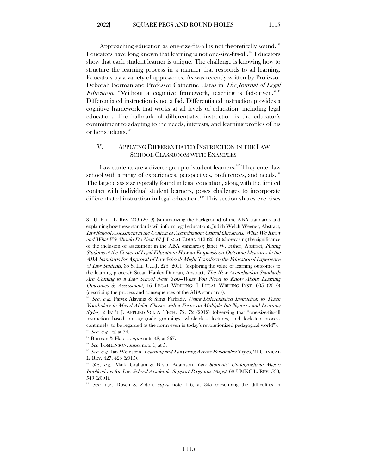Approaching education as one-size-fits-all is not theoretically sound.  $^{\text{\tiny{143}}}$  $^{\text{\tiny{143}}}$  $^{\text{\tiny{143}}}$ Educators have long known that learning is not one-size-fits-all.<sup>[144](#page-22-2)</sup> Educators show that each student learner is unique. The challenge is knowing how to structure the learning process in a manner that responds to all learning. Educators try a variety of approaches. As was recently written by Professor Deborah Borman and Professor Catherine Haras in The Journal of Legal *Education*, "Without a cognitive framework, teaching is fad-driven."<sup>[145](#page-22-3)</sup> Differentiated instruction is not a fad. Differentiated instruction provides a cognitive framework that works at all levels of education, including legal education. The hallmark of differentiated instruction is the educator's commitment to adapting to the needs, interests, and learning profiles of his

## V. APPLYING DIFFERENTIATED INSTRUCTION IN THE LAW SCHOOL CLASSROOM WITH EXAMPLES

Law students are a diverse group of student learners.<sup>[147](#page-22-5)</sup> They enter law school with a range of experiences, perspectives, preferences, and needs.<sup>148</sup> The large class size typically found in legal education, along with the limited contact with individual student learners, poses challenges to incorporate differentiated instruction in legal education. [149](#page-22-7) This section shares exercises

<span id="page-22-0"></span>or her students.<sup>[146](#page-22-4)</sup>

<sup>81</sup> U. PITT. L. REV. 209 (2019) (summarizing the background of the ABA standards and explaining how these standards will inform legal education); Judith Welch Wegner, Abstract, Law School Assessment in the Context of Accreditation: Critical Questions, What We Know and What We Should Do Next, 67 J. LEGAL EDUC. 412 (2018) (showcasing the significance of the inclusion of assessment in the ABA standards); Janet W. Fisher, Abstract, Putting Students at the Center of Legal Education: How an Emphasis on Outcome Measures in the ABA Standards for Approval of Law Schools Might Transform the Educational Experience of Law Students, 35 S. ILL. U.L.J. 225 (2011) (exploring the value of learning outcomes to the learning process); Susan Hanley Duncan, Abstract, The New Accreditation Standards Are Coming to a Law School Near You—What You Need to Know About Learning Outcomes & Assessment, 16 LEGAL WRITING: J. LEGAL WRITING INST. 605 (2010) (describing the process and consequences of the ABA standards).

<span id="page-22-1"></span><sup>&</sup>lt;sup>143</sup> See, e.g., Parviz Alavinia & Sima Farhady, Using Differentiated Instruction to Teach Vocabulary in Mixed Ability Classes with a Focus on Multiple Intelligences and Learning Styles, 2 INT'L J. APPLIED SCI. & TECH. 72, 72 (2012) (observing that "one-size-fits-all instruction based on age-grade groupings, whole-class lectures, and lockstep process continue[s] to be regarded as the norm even in today's revolutionized pedagogical world").

 $144$  See, e.g., id. at 74.

<span id="page-22-5"></span><span id="page-22-4"></span><span id="page-22-3"></span><span id="page-22-2"></span><sup>&</sup>lt;sup>145</sup> Borman & Haras, *supra* note 48, at 367.<br><sup>146</sup> See TOMLINSON, *supra* note 1, at 5. 147 See, e.g., Ian Weinstein, *Learning and Lawyering Across Personality Types*, 21 CLINICAL L. REV. 427, 428 (2015).

<span id="page-22-6"></span><sup>&</sup>lt;sup>148</sup> See, e.g., Mark Graham & Bryan Adamson, *Law Students' Undergraduate Major*: Implications for Law School Academic Support Programs (Asps), 69 UMKC L. REV. 533, 549 (2001).

<span id="page-22-7"></span><sup>&</sup>lt;sup>149</sup> See, e.g., Dosch & Zidon, *supra* note 116, at 345 (describing the difficulties in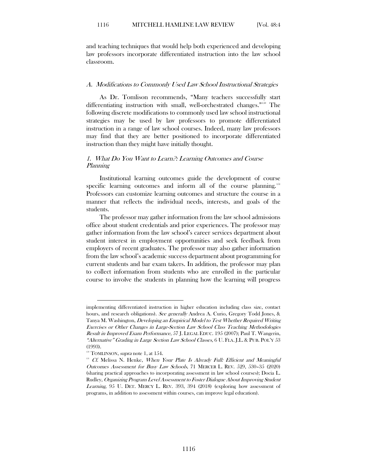and teaching techniques that would help both experienced and developing law professors incorporate differentiated instruction into the law school classroom.

#### <span id="page-23-0"></span>A. Modifications to Commonly Used Law School Instructional Strategies

As Dr. Tomlison recommends, "Many teachers successfully start differentiating instruction with small, well-orchestrated changes."<sup>[150](#page-23-2)</sup> The following discrete modifications to commonly used law school instructional strategies may be used by law professors to promote differentiated instruction in a range of law school courses. Indeed, many law professors may find that they are better positioned to incorporate differentiated instruction than they might have initially thought.

## <span id="page-23-1"></span>1. What Do You Want to Learn?: Learning Outcomes and Course Planning

Institutional learning outcomes guide the development of course specific learning outcomes and inform all of the course planning.<sup>[151](#page-23-3)</sup> Professors can customize learning outcomes and structure the course in a manner that reflects the individual needs, interests, and goals of the students.

The professor may gather information from the law school admissions office about student credentials and prior experiences. The professor may gather information from the law school's career services department about student interest in employment opportunities and seek feedback from employers of recent graduates. The professor may also gather information from the law school's academic success department about programming for current students and bar exam takers. In addition, the professor may plan to collect information from students who are enrolled in the particular course to involve the students in planning how the learning will progress

implementing differentiated instruction in higher education including class size, contact hours, and research obligations). See generally Andrea A. Curio, Gregory Todd Jones, & Tanya M. Washington, Developing an Empirical Model to Test Whether Required Writing Exercises or Other Changes in Large-Section Law School Class Teaching Methodologies Result in Improved Exam Performance, 57 J. LEGAL EDUC. 195 (2007); Paul T. Wangerin, "Alternative" Grading in Large Section Law School Classes, 6 U. FLA. J.L. & PUB. POL'Y 53 (1993).

 $150$  TOMLINSON, *supra* note 1, at 154.

<span id="page-23-3"></span><span id="page-23-2"></span><sup>&</sup>lt;sup>151</sup> Cf. Melissa N. Henke, When Your Plate Is Already Full: Efficient and Meaningful Outcomes Assessment for Busy Law Schools, 71 MERCER L. REV. 529, 530–35 (2020) (sharing practical approaches to incorporating assessment in law school courses); Docia L. Rudley, Organizing Program Level Assessment to Foster Dialogue About Improving Student Learning, 95 U. DET. MERCY L. REV. 393, 394 (2018) (exploring how assessment of programs, in addition to assessment within courses, can improve legal education).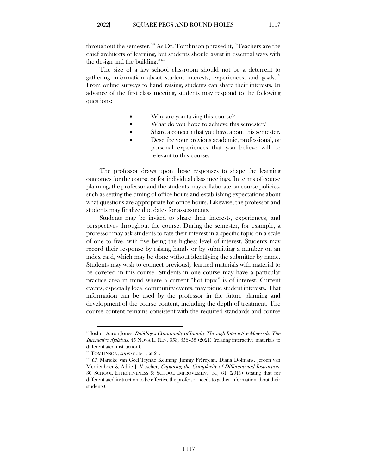throughout the semester. [152](#page-24-0) As Dr. Tomlinson phrased it, "Teachers are the chief architects of learning, but students should assist in essential ways with the design and the building."[153](#page-24-1)

The size of a law school classroom should not be a deterrent to gathering information about student interests, experiences, and goals.[154](#page-24-2) From online surveys to hand raising, students can share their interests. In advance of the first class meeting, students may respond to the following questions:

- Why are you taking this course?
- What do you hope to achieve this semester?
- Share a concern that you have about this semester.
- Describe your previous academic, professional, or personal experiences that you believe will be relevant to this course.

The professor draws upon those responses to shape the learning outcomes for the course or for individual class meetings. In terms of course planning, the professor and the students may collaborate on course policies, such as setting the timing of office hours and establishing expectations about what questions are appropriate for office hours. Likewise, the professor and students may finalize due dates for assessments.

Students may be invited to share their interests, experiences, and perspectives throughout the course. During the semester, for example, a professor may ask students to rate their interest in a specific topic on a scale of one to five, with five being the highest level of interest. Students may record their response by raising hands or by submitting a number on an index card, which may be done without identifying the submitter by name. Students may wish to connect previously learned materials with material to be covered in this course. Students in one course may have a particular practice area in mind where a current "hot topic" is of interest. Current events, especially local community events, may pique student interests. That information can be used by the professor in the future planning and development of the course content, including the depth of treatment. The course content remains consistent with the required standards and course

<span id="page-24-0"></span> $152$  Joshua Aaron Jones, Building a Community of Inquiry Through Interactive Materials: The Interactive Syllabus, 45 NOVA L. REV. 353, 356–58 (2021) (relating interactive materials to differentiated instruction).

 $153$  TOMLINSON, *supra* note 1, at 21.

<span id="page-24-2"></span><span id="page-24-1"></span><sup>154</sup> Cf. Marieke van Geel,Trynke Keuning, Jimmy Frèrejean, Diana Dolmans, Jeroen van Merriënboer & Adrie J. Visscher, Capturing the Complexity of Differentiated Instruction, 30 SCHOOL EFFECTIVENESS & SCHOOL IMPROVEMENT 51, 61 (2019) (stating that for differentiated instruction to be effective the professor needs to gather information about their students).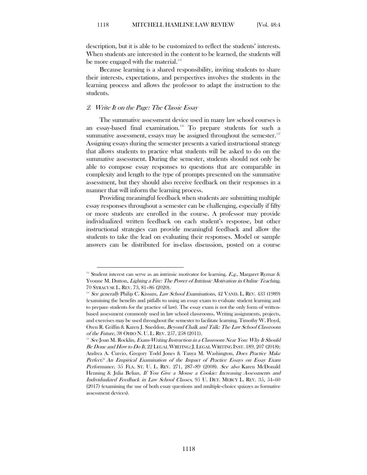description, but it is able to be customized to reflect the students' interests. When students are interested in the content to be learned, the students will be more engaged with the material.<sup>[155](#page-25-1)</sup>

Because learning is a shared responsibility, inviting students to share their interests, expectations, and perspectives involves the students in the learning process and allows the professor to adapt the instruction to the students.

#### <span id="page-25-0"></span>2. Write It on the Page: The Classic Essay

The summative assessment device used in many law school courses is an essay-based final examination.<sup>[156](#page-25-2)</sup> To prepare students for such a summative assessment, essays may be assigned throughout the semester.<sup>[157](#page-25-3)</sup> Assigning essays during the semester presents a varied instructional strategy that allows students to practice what students will be asked to do on the summative assessment. During the semester, students should not only be able to compose essay responses to questions that are comparable in complexity and length to the type of prompts presented on the summative assessment, but they should also receive feedback on their responses in a manner that will inform the learning process.

Providing meaningful feedback when students are submitting multiple essay responses throughout a semester can be challenging, especially if fifty or more students are enrolled in the course. A professor may provide individualized written feedback on each student's response, but other instructional strategies can provide meaningful feedback and allow the students to take the lead on evaluating their responses. Model or sample answers can be distributed for in-class discussion, posted on a course

<span id="page-25-1"></span><sup>&</sup>lt;sup>155</sup> Student interest can serve as an intrinsic motivator for learning. E.g., Margaret Ryznar & Yvonne M. Dutton, Lighting a Fire: The Power of Intrinsic Motivation in Online Teaching, 70 SYRACUSE L. REV. 73, 81–86 (2020).

<span id="page-25-2"></span><sup>&</sup>lt;sup>156</sup> See generally Philip C. Kissam, Law School Examinations, 42 VAND. L. REV. 433 (1989) (examining the benefits and pitfalls to using an essay exam to evaluate student learning and to prepare students for the practice of law). The essay exam is not the only form of writtenbased assessment commonly used in law school classrooms. Writing assignments, projects, and exercises may be used throughout the semester to facilitate learning. Timothy W. Floyd, Oren R. Griffin & Karen J. Sneddon, Beyond Chalk and Talk: The Law School Classroom of the Future, 38 OHIO N. U. L. REV. 257, 258 (2011).

<span id="page-25-3"></span> $157$  See Joan M. Rocklin, Exam-Writing Instruction in a Classroom Near You: Why It Should Be Done and How to Do It, 22 LEGAL WRITING: J. LEGAL WRITING INST. 189, 207 (2018); Andrea A. Curcio, Gregory Todd Jones & Tanya M. Washington, Does Practice Make Perfect? An Empirical Examination of the Impact of Practice Essays on Essay Exam Performance, 35 FLA. ST. U. L. REV. 271, 287-89 (2008). See also Karen McDonald Henning & Julia Belian, If You Give a Mouse a Cookie: Increasing Assessments and Individualized Feedback in Law School Classes, 95 U. DET. MERCY L. REV. 35, 54–60 (2017) (examining the use of both essay questions and multiple-choice quizzes as formative assessment devices).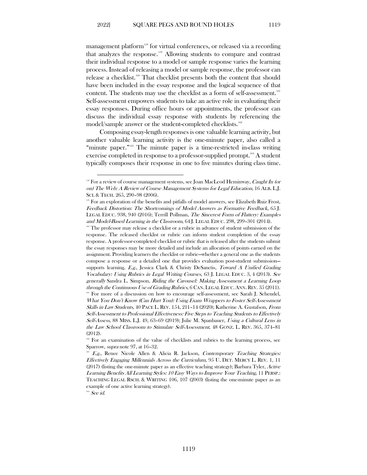management platform<sup>158</sup> for virtual conferences, or released via a recording that analyzes the response. [159](#page-26-1) Allowing students to compare and contrast their individual response to a model or sample response varies the learning process. Instead of releasing a model or sample response, the professor can release a checklist.[160](#page-26-2) That checklist presents both the content that should have been included in the essay response and the logical sequence of that content. The students may use the checklist as a form of self-assessment.<sup>[161](#page-26-3)</sup> Self-assessment empowers students to take an active role in evaluating their essay responses. During office hours or appointments, the professor can discuss the individual essay response with students by referencing the model/sample answer or the student-completed checklists. [162](#page-26-4)

Composing essay-length responses is one valuable learning activity, but another valuable learning activity is the one-minute paper, also called a "minute paper."<sup>[163](#page-26-5)</sup> The minute paper is a time-restricted in-class writing exercise completed in response to a professor-supplied prompt.<sup>[164](#page-26-6)</sup> A student typically composes their response in one to five minutes during class time.

<span id="page-26-0"></span> $158$  For a review of course management systems, see Joan MacLeod Heminway, Caught In (or on) The Web: A Review of Course Management Systems for Legal Education, 16 ALB. L.J. SCI. & TECH. 265, 290–98 (2006).

<span id="page-26-1"></span><sup>&</sup>lt;sup>159</sup> For an exploration of the benefits and pitfalls of model answers, see Elizabeth Ruiz Frost, Feedback Distortion: The Shortcomings of Model Answers as Formative Feedback, 65 J. LEGAL EDUC. 938, 940 (2016); Terrill Pollman, The Sincerest Form of Flattery: Examples and Model-Based Learning in the Classroom, 64 J. LEGAL EDUC. 298, 299–301 (2014).

<span id="page-26-2"></span>The professor may release a checklist or a rubric in advance of student submission of the response. The released checklist or rubric can inform student completion of the essay response. A professor-completed checklist or rubric that is released after the students submit the essay responses may be more detailed and include an allocation of points earned on the assignment. Providing learners the checklist or rubric—whether a general one as the students compose a response or a detailed one that provides evaluation post-student submission supports learning.  $E.g.,$  Jessica Clark & Christy DeSanctis, Toward A Unified Grading Vocabulary: Using Rubrics in Legal Writing Courses, 63 J. LEGAL EDUC. 3, 4 (2013). See generally Sandra L. Simpson, Riding the Carousel: Making Assessment a Learning Loop through the Continuous Use of Grading Rubrics, 6 CAN. LEGAL EDUC. ANN. REV. 35 (2011). <sup>161</sup> For more of a discussion on how to encourage self-assessment, see Sarah J. Schendel, What You Don't Know (Can Hurt You): Using Exam Wrappers to Foster Self-Assessment Skills in Law Students, 40 PACE L. REV. 154, 211–14 (2020); Katherine A. Gustafson, From Self-Assessment to Professional Effectiveness: Five Steps to Teaching Students to Effectively Self-Assess, 88 MISS. L.J. 49, 63–69 (2019); Julie M. Spanbauer, Using a Cultural Lens in the Law School Classroom to Stimulate Self-Assessment, 48 GONZ. L. REV. 365, 374–81 (2012).

<span id="page-26-4"></span><span id="page-26-3"></span> $162$  For an examination of the value of checklists and rubrics to the learning process, see Sparrow, supra note 97, at 16–32.

<span id="page-26-5"></span>E.g., Renee Nicole Allen & Alicia R. Jackson, Contemporary Teaching Strategies: Effectively Engaging Millennials Across the Curriculum, 95 U. DET. MERCY L. REV. 1, 11  $(2017)$  (listing the one-minute paper as an effective teaching strategy); Barbara Tyler, Active Learning Benefits All Learning Styles: 10 Easy Ways to Improve Your Teaching, 11 PERSP.: TEACHING LEGAL RSCH. & WRITING 106, 107 (2003) (listing the one-minute paper as an example of one active learning strategy).

<span id="page-26-6"></span> $164$  See id.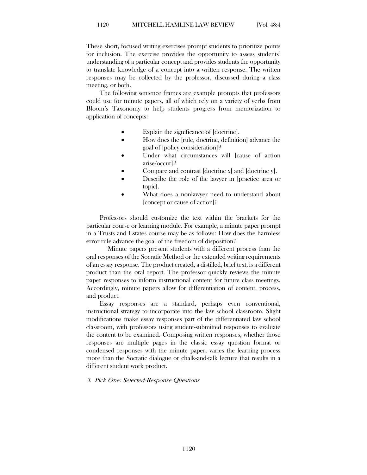These short, focused writing exercises prompt students to prioritize points for inclusion. The exercise provides the opportunity to assess students' understanding of a particular concept and provides students the opportunity to translate knowledge of a concept into a written response. The written responses may be collected by the professor, discussed during a class meeting, or both.

The following sentence frames are example prompts that professors could use for minute papers, all of which rely on a variety of verbs from Bloom's Taxonomy to help students progress from memorization to application of concepts:

- Explain the significance of [doctrine].
- How does the [rule, doctrine, definition] advance the goal of [policy consideration]?
- Under what circumstances will [cause of action arise/occur]?
- Compare and contrast [doctrine x] and [doctrine y].
- Describe the role of the lawyer in [practice area or topic].
- What does a nonlawyer need to understand about [concept or cause of action]?

Professors should customize the text within the brackets for the particular course or learning module. For example, a minute paper prompt in a Trusts and Estates course may be as follows: How does the harmless error rule advance the goal of the freedom of disposition?

Minute papers present students with a different process than the oral responses of the Socratic Method or the extended writing requirements of an essay response. The product created, a distilled, brief text, is a different product than the oral report. The professor quickly reviews the minute paper responses to inform instructional content for future class meetings. Accordingly, minute papers allow for differentiation of content, process, and product.

Essay responses are a standard, perhaps even conventional, instructional strategy to incorporate into the law school classroom. Slight modifications make essay responses part of the differentiated law school classroom, with professors using student-submitted responses to evaluate the content to be examined. Composing written responses, whether those responses are multiple pages in the classic essay question format or condensed responses with the minute paper, varies the learning process more than the Socratic dialogue or chalk-and-talk lecture that results in a different student work product.

#### <span id="page-27-0"></span>3. Pick One: Selected-Response Questions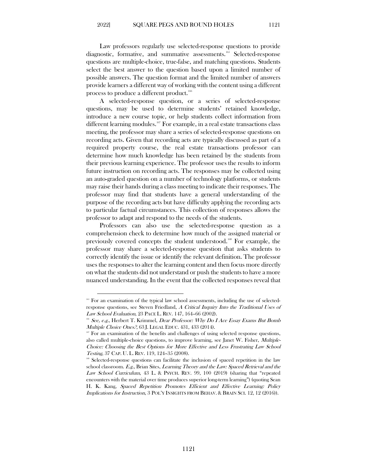Law professors regularly use selected-response questions to provide diagnostic, formative, and summative assessments. [165](#page-28-0) Selected-response questions are multiple-choice, true-false, and matching questions. Students select the best answer to the question based upon a limited number of possible answers. The question format and the limited number of answers provide learners a different way of working with the content using a different process to produce a different product. [166](#page-28-1)

A selected-response question, or a series of selected-response questions, may be used to determine students' retained knowledge, introduce a new course topic, or help students collect information from different learning modules.<sup>[167](#page-28-2)</sup> For example, in a real estate transactions class meeting, the professor may share a series of selected-response questions on recording acts. Given that recording acts are typically discussed as part of a required property course, the real estate transactions professor can determine how much knowledge has been retained by the students from their previous learning experience. The professor uses the results to inform future instruction on recording acts. The responses may be collected using an auto-graded question on a number of technology platforms, or students may raise their hands during a class meeting to indicate their responses. The professor may find that students have a general understanding of the purpose of the recording acts but have difficulty applying the recording acts to particular factual circumstances. This collection of responses allows the professor to adapt and respond to the needs of the students.

Professors can also use the selected-response question as a comprehension check to determine how much of the assigned material or previously covered concepts the student understood.[168](#page-28-3) For example, the professor may share a selected-response question that asks students to correctly identify the issue or identify the relevant definition. The professor uses the responses to alter the learning content and then focus more directly on what the students did not understand or push the students to have a more nuanced understanding. In the event that the collected responses reveal that

<span id="page-28-0"></span><sup>&</sup>lt;sup>165</sup> For an examination of the typical law school assessments, including the use of selectedresponse questions, see Steven Friedland, A Critical Inquiry Into the Traditional Uses of Law School Evaluation, 23 PACE L. REV. 147, 164-66 (2002).<br><sup>166</sup> See, e.g., Herbert T. Krimmel, *Dear Professor: Why Do I Ace Essay Exams But Bomb* 

<span id="page-28-1"></span>Multiple Choice Ones?, 63 J. LEGAL EDUC. 431, 433 (2014).

<span id="page-28-2"></span> $167$  For an examination of the benefits and challenges of using selected response questions, also called multiple-choice questions, to improve learning, see Janet W. Fisher, Multiple-Choice: Choosing the Best Options for More Effective and Less Frustrating Law School Testing, 37 CAP. U. L. REV. 119, 124–35 (2008).

<span id="page-28-3"></span><sup>&</sup>lt;sup>168</sup> Selected-response questions can facilitate the inclusion of spaced repetition in the law school classroom. E.g., Brian Sites, Learning Theory and the Law: Spaced Retrieval and the Law School Curriculum, 43 L. & PSYCH. REV. 99, 100 (2019) (sharing that "repeated encounters with the material over time produces superior long-term learning") (quoting Sean H. K. Kang, Spaced Repetition Promotes Efficient and Effective Learning: Policy Implications for Instruction, 3 POL'Y INSIGHTS FROM BEHAV. & BRAIN SCI. 12, 12 (2016)).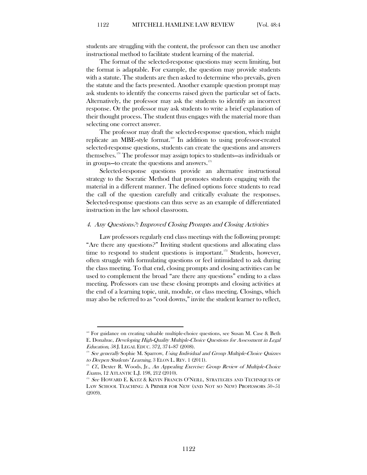students are struggling with the content, the professor can then use another instructional method to facilitate student learning of the material.

The format of the selected-response questions may seem limiting, but the format is adaptable. For example, the question may provide students with a statute. The students are then asked to determine who prevails, given the statute and the facts presented. Another example question prompt may ask students to identify the concerns raised given the particular set of facts. Alternatively, the professor may ask the students to identify an incorrect response. Or the professor may ask students to write a brief explanation of their thought process. The student thus engages with the material more than selecting one correct answer.

The professor may draft the selected-response question, which might replicate an MBE-style format. [169](#page-29-1) In addition to using professor-created selected-response questions, students can create the questions and answers themselves. [170](#page-29-2) The professor may assign topics to students—as individuals or in groups—to create the questions and answers. $^{171}$  $^{171}$  $^{171}$ 

Selected-response questions provide an alternative instructional strategy to the Socratic Method that promotes students engaging with the material in a different manner. The defined options force students to read the call of the question carefully and critically evaluate the responses. Selected-response questions can thus serve as an example of differentiated instruction in the law school classroom.

#### <span id="page-29-0"></span>4. Any Questions?: Improved Closing Prompts and Closing Activities

Law professors regularly end class meetings with the following prompt: "Are there any questions?" Inviting student questions and allocating class time to respond to student questions is important.<sup>[172](#page-29-4)</sup> Students, however, often struggle with formulating questions or feel intimidated to ask during the class meeting. To that end, closing prompts and closing activities can be used to complement the broad "are there any questions" ending to a class meeting. Professors can use these closing prompts and closing activities at the end of a learning topic, unit, module, or class meeting. Closings, which may also be referred to as "cool downs," invite the student learner to reflect,

<span id="page-29-1"></span> $169$  For guidance on creating valuable multiple-choice questions, see Susan M. Case & Beth E. Donahue, Developing High-Quality Multiple-Choice Questions for Assessment in Legal Education, 58 J. LEGAL EDUC. 372, 374–87 (2008).

<span id="page-29-2"></span> $170$  See generally Sophie M. Sparrow, Using Individual and Group Multiple-Choice Quizzes to Deepen Students' Learning, 3 ELON L. REV. 1 (2011).

<span id="page-29-3"></span><sup>&</sup>lt;sup>171</sup> Cf., Dexter R. Woods, Jr., An Appealing Exercise: Group Review of Multiple-Choice Exams, 12 ATLANTIC L.J. 198, 212 (2010).

<span id="page-29-4"></span> $172$  See HOWARD E. KATZ & KEVIN FRANCIS O'NEILL, STRATEGIES AND TECHNIQUES OF LAW SCHOOL TEACHING: A PRIMER FOR NEW (AND NOT SO NEW) PROFESSORS 50–51 (2009).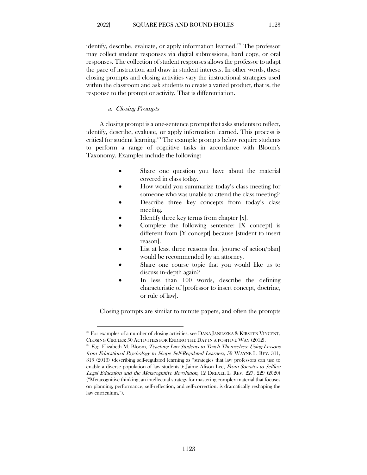identify, describe, evaluate, or apply information learned.<sup>[173](#page-30-1)</sup> The professor may collect student responses via digital submissions, hard copy, or oral responses. The collection of student responses allows the professor to adapt the pace of instruction and draw in student interests. In other words, these closing prompts and closing activities vary the instructional strategies used within the classroom and ask students to create a varied product, that is, the response to the prompt or activity. That is differentiation.

#### <span id="page-30-0"></span>a. Closing Prompts

A closing prompt is a one-sentence prompt that asks students to reflect, identify, describe, evaluate, or apply information learned. This process is critical for student learning.[174](#page-30-2) The example prompts below require students to perform a range of cognitive tasks in accordance with Bloom's Taxonomy. Examples include the following:

- Share one question you have about the material covered in class today.
- How would you summarize today's class meeting for someone who was unable to attend the class meeting?
- Describe three key concepts from today's class meeting.
- Identify three key terms from chapter [x].
- Complete the following sentence:  $[X \text{ concept}]$  is different from [Y concept] because [student to insert reason].
- List at least three reasons that [course of action/plan] would be recommended by an attorney.
- Share one course topic that you would like us to discuss in-depth again?
- In less than 100 words, describe the defining characteristic of [professor to insert concept, doctrine, or rule of law].

Closing prompts are similar to minute papers, and often the prompts

<span id="page-30-1"></span><sup>&</sup>lt;sup>173</sup> For examples of a number of closing activities, see DANA JANUSZKA & KIRSTEN VINCENT, CLOSING CIRCLES: 50 ACTIVITIES FOR ENDING THE DAY IN A POSITIVE WAY (2012).

<span id="page-30-2"></span> $174$  E.g., Elizabeth M. Bloom, Teaching Law Students to Teach Themselves: Using Lessons from Educational Psychology to Shape Self-Regulated Learners, 59 WAYNE L. REV. 311, 315 (2013) (describing self-regulated learning as "strategies that law professors can use to enable a diverse population of law students"); Jaime Alison Lee, From Socrates to Selfies: Legal Education and the Metacognitive Revolution, 12 DREXEL L. REV. 227, 229 (2020) ("Metacognitive thinking, an intellectual strategy for mastering complex material that focuses on planning, performance, self-reflection, and self-correction, is dramatically reshaping the law curriculum.").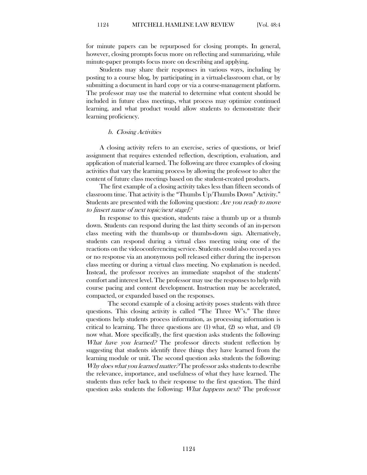for minute papers can be repurposed for closing prompts. In general, however, closing prompts focus more on reflecting and summarizing, while minute-paper prompts focus more on describing and applying.

Students may share their responses in various ways, including by posting to a course blog, by participating in a virtual-classroom chat, or by submitting a document in hard copy or via a course-management platform. The professor may use the material to determine what content should be included in future class meetings, what process may optimize continued learning, and what product would allow students to demonstrate their learning proficiency.

#### <span id="page-31-0"></span>b. Closing Activities

A closing activity refers to an exercise, series of questions, or brief assignment that requires extended reflection, description, evaluation, and application of material learned. The following are three examples of closing activities that vary the learning process by allowing the professor to alter the content of future class meetings based on the student-created products.

The first example of a closing activity takes less than fifteen seconds of classroom time. That activity is the "Thumbs Up/Thumbs Down" Activity." Students are presented with the following question: Are you ready to move to [insert name of next topic/next stage]?

In response to this question, students raise a thumb up or a thumb down. Students can respond during the last thirty seconds of an in-person class meeting with the thumbs-up or thumbs-down sign. Alternatively, students can respond during a virtual class meeting using one of the reactions on the videoconferencing service. Students could also record a yes or no response via an anonymous poll released either during the in-person class meeting or during a virtual class meeting. No explanation is needed. Instead, the professor receives an immediate snapshot of the students' comfort and interest level. The professor may use the responses to help with course pacing and content development. Instruction may be accelerated, compacted, or expanded based on the responses.

 The second example of a closing activity poses students with three questions. This closing activity is called "The Three W's." The three questions help students process information, as processing information is critical to learning. The three questions are (1) what, (2) so what, and (3) now what. More specifically, the first question asks students the following: What have you learned? The professor directs student reflection by suggesting that students identify three things they have learned from the learning module or unit. The second question asks students the following: Why does what you learned matter? The professor asks students to describe the relevance, importance, and usefulness of what they have learned. The students thus refer back to their response to the first question. The third question asks students the following: What happens next? The professor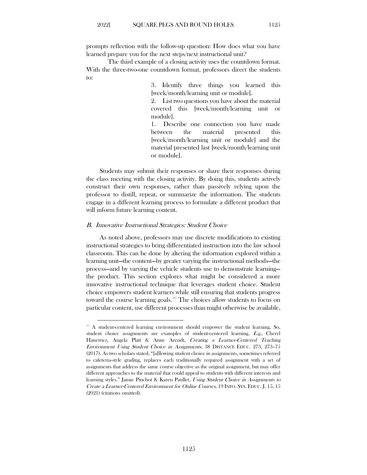prompts reflection with the follow-up question: How does what you have learned prepare you for the next steps/next instructional unit?

 The third example of a closing activity uses the countdown format. With the three-two-one countdown format, professors direct the students to:

> 3. Identify three things you learned this [week/month/learning unit or module].

> 2. List two questions you have about the material covered this [week/month/learning unit or module].

> 1. Describe one connection you have made between the material presented this [week/month/learning unit or module] and the material presented last [week/month/learning unit or module].

Students may submit their responses or share their responses during the class meeting with the closing activity. By doing this, students actively construct their own responses, rather than passively relying upon the professor to distill, repeat, or summarize the information. The students engage in a different learning process to formulate a different product that will inform future learning content.

#### <span id="page-32-0"></span>B. Innovative Instructional Strategies: Student Choice

As noted above, professors may use discrete modifications to existing instructional strategies to bring differentiated instruction into the law school classroom. This can be done by altering the information explored within a learning unit—the content—by greater varying the instructional methods—the process—and by varying the vehicle students use to demonstrate learning the product. This section explores what might be considered a more innovative instructional technique that leverages student choice. Student choice empowers student learners while still ensuring that students progress toward the course learning goals.<sup>[175](#page-32-1)</sup> The choices allow students to focus on particular content, use different processes than might otherwise be available,

1125

<span id="page-32-1"></span><sup>&</sup>lt;sup>175</sup> A student-centered learning environment should empower the student learning. So, student choice assignments are examples of student-centered learning. E.g., Cheryl Hanewicz, Angela Platt & Anne Arendt, Creating a Learner-Centered Teaching Environment Using Student Choice in Assignments, 38 DISTANCE EDUC. 273, 273–75 (2017). As two scholars stated, "[a]llowing student choice in assignments, sometimes referred to cafeteria-style grading, replaces each traditionally required assignment with a set of assignments that address the same course objective as the original assignment, but may offer different approaches to the material that could appeal to students with different interests and learning styles." Jamie Pinchot & Karen Paullet, Using Student Choice in Assignments to Create a Learner-Centered Environment for Online Courses, 19 INFO. SYS. EDUC. J. 15, 15 (2021) (citations omitted).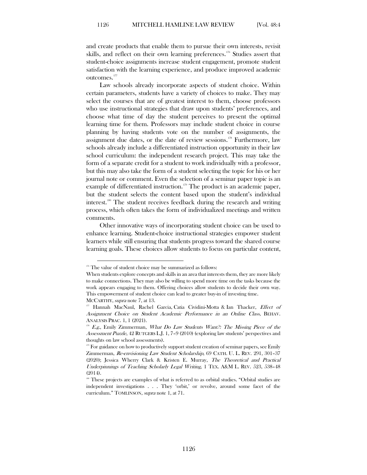and create products that enable them to pursue their own interests, revisit skills, and reflect on their own learning preferences.<sup>[176](#page-33-0)</sup> Studies assert that student-choice assignments increase student engagement, promote student satisfaction with the learning experience, and produce improved academic outcomes.[177](#page-33-1)

Law schools already incorporate aspects of student choice. Within certain parameters, students have a variety of choices to make. They may select the courses that are of greatest interest to them, choose professors who use instructional strategies that draw upon students' preferences, and choose what time of day the student perceives to present the optimal learning time for them. Professors may include student choice in course planning by having students vote on the number of assignments, the assignment due dates, or the date of review sessions.<sup>178</sup> Furthermore, law schools already include a differentiated instruction opportunity in their law school curriculum: the independent research project. This may take the form of a separate credit for a student to work individually with a professor, but this may also take the form of a student selecting the topic for his or her journal note or comment. Even the selection of a seminar paper topic is an example of differentiated instruction. [179](#page-33-3) The product is an academic paper, but the student selects the content based upon the student's individual interest.[180](#page-33-4) The student receives feedback during the research and writing process, which often takes the form of individualized meetings and written comments.

Other innovative ways of incorporating student choice can be used to enhance learning. Student-choice instructional strategies empower student learners while still ensuring that students progress toward the shared course learning goals. These choices allow students to focus on particular content,

MCCARTHY, supra note 7, at 13.

<sup>&</sup>lt;sup>176</sup> The value of student choice may be summarized as follows:

<span id="page-33-0"></span>When students explore concepts and skills in an area that interests them, they are more likely to make connections. They may also be willing to spend more time on the tasks because the work appears engaging to them. Offering choices allow students to decide their own way. This empowerment of student choice can lead to greater buy-in of investing time.

<span id="page-33-1"></span>Hannah MacNaul, Rachel Garcia, Catia Cividini-Motta & Ian Thacker, Effect of Assignment Choice on Student Academic Performance in an Online Class, BEHAV. ANALYSIS PRAC. 1, 1 (2021).

<span id="page-33-2"></span>E.g., Emily Zimmerman, What Do Law Students Want?: The Missing Piece of the Assessment Puzzle, 42 RUTGERS L.J. 1, 7–9 (2010) (exploring law students' perspectives and thoughts on law school assessments).

<span id="page-33-3"></span> $179$  For guidance on how to productively support student creation of seminar papers, see Emily Zimmerman, Re-envisioning Law Student Scholarship, 69 CATH. U. L. REV. 291, 301–37 (2020); Jessica Wherry Clark & Kristen E. Murray, The Theoretical and Practical Underpinnings of Teaching Scholarly Legal Writing, 1 TEX. A&M L. REV. 523, 538–48 (2014).

<span id="page-33-4"></span><sup>&</sup>lt;sup>180</sup> These projects are examples of what is referred to as orbital studies. "Orbital studies are independent investigations . . . They 'orbit,' or revolve, around some facet of the curriculum." TOMLINSON, supra note 1, at 71.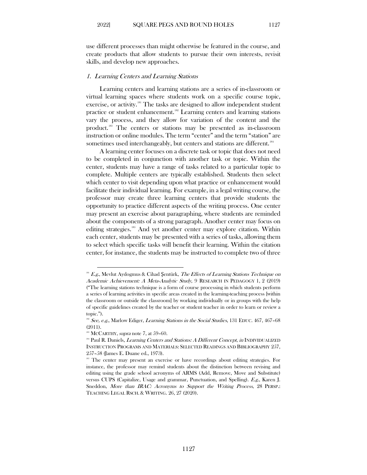use different processes than might otherwise be featured in the course, and create products that allow students to pursue their own interests, revisit skills, and develop new approaches.

#### <span id="page-34-0"></span>1. Learning Centers and Learning Stations

Learning centers and learning stations are a series of in-classroom or virtual learning spaces where students work on a specific course topic, exercise, or activity.<sup>[181](#page-34-1)</sup> The tasks are designed to allow independent student practice or student enhancement.<sup>[182](#page-34-2)</sup> Learning centers and learning stations vary the process, and they allow for variation of the content and the product.[183](#page-34-3) The centers or stations may be presented as in-classroom instruction or online modules. The term "center" and the term "station" are sometimes used interchangeably, but centers and stations are different. [184](#page-34-4)

A learning center focuses on a discrete task or topic that does not need to be completed in conjunction with another task or topic. Within the center, students may have a range of tasks related to a particular topic to complete. Multiple centers are typically established. Students then select which center to visit depending upon what practice or enhancement would facilitate their individual learning. For example, in a legal writing course, the professor may create three learning centers that provide students the opportunity to practice different aspects of the writing process. One center may present an exercise about paragraphing, where students are reminded about the components of a strong paragraph. Another center may focus on editing strategies.<sup>[185](#page-34-5)</sup> And yet another center may explore citation. Within each center, students may be presented with a series of tasks, allowing them to select which specific tasks will benefit their learning. Within the citation center, for instance, the students may be instructed to complete two of three

<span id="page-34-1"></span> $181$  E.g., Mevlut Aydogmus & Cihad Sentürk, The Effects of Learning Stations Technique on Academic Achievement: A Meta-Analytic Study, 9 RESEARCH IN PEDAGOGY 1, 2 (2019) ("The learning stations technique is a form of course processing in which students perform a series of learning activities in specific areas created in the learning-teaching process [within the classroom or outside the classroom] by working individually or in groups with the help of specific guidelines created by the teacher or student teacher in order to learn or review a topic.").

<span id="page-34-2"></span><sup>&</sup>lt;sup>182</sup> See, e.g., Marlow Ediger, Learning Stations in the Social Studies, 131 EDUC. 467, 467-68 (2011).

<span id="page-34-3"></span> $188$  MCCARTHY, *supra* note 7, at 59–60.

<span id="page-34-4"></span><sup>&</sup>lt;sup>184</sup> Paul R. Daniels, *Learning Centers and Stations: A Different Concept, in* INDIVIDUALIZED INSTRUCTION PROGRAMS AND MATERIALS: SELECTED READINGS AND BIBLIOGRAPHY 257, 257–58 (James E. Duane ed., 1973).

<span id="page-34-5"></span><sup>&</sup>lt;sup>185</sup> The center may present an exercise or have recordings about editing strategies. For instance, the professor may remind students about the distinction between revising and editing using the grade school acronyms of ARMS (Add, Remove, Move and Substitute) versus CUPS (Capitalize, Usage and grammar, Punctuation, and Spelling). E.g., Karen J. Sneddon, More than IRAC: Acronyms to Support the Writing Process, 28 PERSP.: TEACHING LEGAL RSCH. & WRITING. 26, 27 (2020).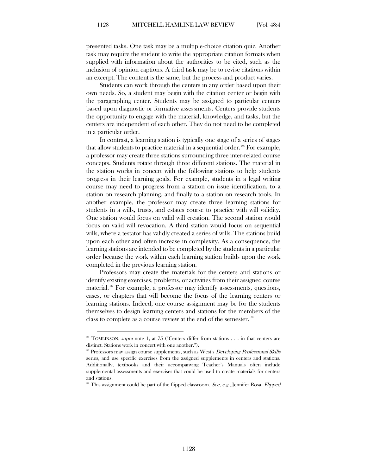presented tasks. One task may be a multiple-choice citation quiz. Another task may require the student to write the appropriate citation formats when supplied with information about the authorities to be cited, such as the inclusion of opinion captions. A third task may be to revise citations within an excerpt. The content is the same, but the process and product varies.

Students can work through the centers in any order based upon their own needs. So, a student may begin with the citation center or begin with the paragraphing center. Students may be assigned to particular centers based upon diagnostic or formative assessments. Centers provide students the opportunity to engage with the material, knowledge, and tasks, but the centers are independent of each other. They do not need to be completed in a particular order.

In contrast, a learning station is typically one stage of a series of stages that allow students to practice material in a sequential order.<sup>[186](#page-35-0)</sup> For example, a professor may create three stations surrounding three inter-related course concepts. Students rotate through three different stations. The material in the station works in concert with the following stations to help students progress in their learning goals. For example, students in a legal writing course may need to progress from a station on issue identification, to a station on research planning, and finally to a station on research tools. In another example, the professor may create three learning stations for students in a wills, trusts, and estates course to practice with will validity. One station would focus on valid will creation. The second station would focus on valid will revocation. A third station would focus on sequential wills, where a testator has validly created a series of wills. The stations build upon each other and often increase in complexity. As a consequence, the learning stations are intended to be completed by the students in a particular order because the work within each learning station builds upon the work completed in the previous learning station.

Professors may create the materials for the centers and stations or identify existing exercises, problems, or activities from their assigned course material.<sup>[187](#page-35-1)</sup> For example, a professor may identify assessments, questions, cases, or chapters that will become the focus of the learning centers or learning stations. Indeed, one course assignment may be for the students themselves to design learning centers and stations for the members of the class to complete as a course review at the end of the semester. [188](#page-35-2)

<span id="page-35-0"></span><sup>&</sup>lt;sup>186</sup> TOMLINSON, *supra* note 1, at 75 ("Centers differ from stations . . . in that centers are distinct. Stations work in concert with one another.").

<span id="page-35-1"></span><sup>&</sup>lt;sup>187</sup> Professors may assign course supplements, such as West's *Developing Professional Skills* series, and use specific exercises from the assigned supplements in centers and stations. Additionally, textbooks and their accompanying Teacher's Manuals often include supplemental assessments and exercises that could be used to create materials for centers and stations.

<span id="page-35-2"></span><sup>&</sup>lt;sup>188</sup> This assignment could be part of the flipped classroom. See, e.g., Jennifer Rosa, *Flipped*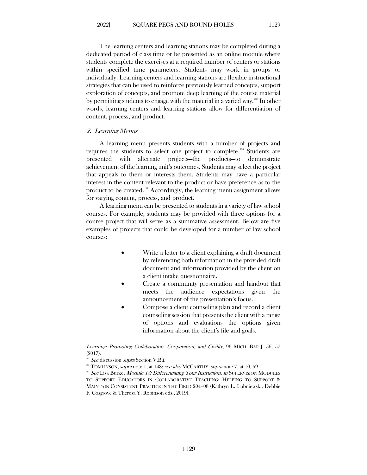The learning centers and learning stations may be completed during a dedicated period of class time or be presented as an online module where students complete the exercises at a required number of centers or stations within specified time parameters. Students may work in groups or individually. Learning centers and learning stations are flexible instructional strategies that can be used to reinforce previously learned concepts, support exploration of concepts, and promote deep learning of the course material by permitting students to engage with the material in a varied way. [189](#page-36-1) In other words, learning centers and learning stations allow for differentiation of content, process, and product.

#### <span id="page-36-0"></span>2. Learning Menus

A learning menu presents students with a number of projects and requires the students to select one project to complete. [190](#page-36-2) Students are presented with alternate projects—the products—to demonstrate achievement of the learning unit's outcomes. Students may select the project that appeals to them or interests them. Students may have a particular interest in the content relevant to the product or have preference as to the product to be created.<sup>[191](#page-36-3)</sup> Accordingly, the learning menu assignment allows for varying content, process, and product.

A learning menu can be presented to students in a variety of law school courses. For example, students may be provided with three options for a course project that will serve as a summative assessment. Below are five examples of projects that could be developed for a number of law school courses:

- Write a letter to a client explaining a draft document by referencing both information in the provided draft document and information provided by the client on a client intake questionnaire.
- Create a community presentation and handout that meets the audience expectations given the announcement of the presentation's focus.
- Compose a client counseling plan and record a client counseling session that presents the client with a range of options and evaluations the options given information about the client's file and goals.

Learning: Promoting Collaboration, Cooperation, and Civility, 96 MICH. BAR J. 56, 57 (2017).

<span id="page-36-1"></span><sup>189</sup> See discussion supra Section V.B.i.

 $190$  TOMLINSON, supra note 1, at 148; see also MCCARTHY, supra note 7, at 10, 59.

<span id="page-36-3"></span><span id="page-36-2"></span><sup>&</sup>lt;sup>191</sup> See Lisa Burke, Module 13: Differentiating Your Instruction, in SUPERVISION MODULES TO SUPPORT EDUCATORS IN COLLABORATIVE TEACHING: HELPING TO SUPPORT & MAINTAIN CONSISTENT PRACTICE IN THE FIELD 204–08 (Kathryn L. Lubniewski, Debbie F. Cosgrove & Theresa Y. Robinson eds., 2019).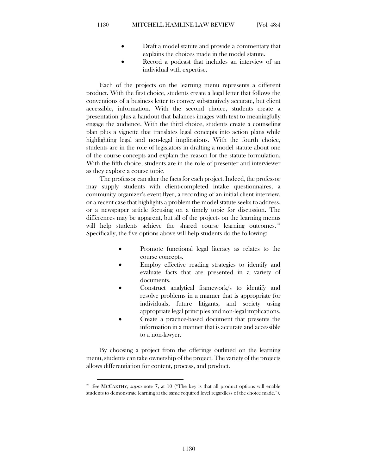- Draft a model statute and provide a commentary that explains the choices made in the model statute.
- Record a podcast that includes an interview of an individual with expertise.

Each of the projects on the learning menu represents a different product. With the first choice, students create a legal letter that follows the conventions of a business letter to convey substantively accurate, but client accessible, information. With the second choice, students create a presentation plus a handout that balances images with text to meaningfully engage the audience. With the third choice, students create a counseling plan plus a vignette that translates legal concepts into action plans while highlighting legal and non-legal implications. With the fourth choice, students are in the role of legislators in drafting a model statute about one of the course concepts and explain the reason for the statute formulation. With the fifth choice, students are in the role of presenter and interviewer as they explore a course topic.

The professor can alter the facts for each project. Indeed, the professor may supply students with client-completed intake questionnaires, a community organizer's event flyer, a recording of an initial client interview, or a recent case that highlights a problem the model statute seeks to address, or a newspaper article focusing on a timely topic for discussion. The differences may be apparent, but all of the projects on the learning menus will help students achieve the shared course learning outcomes.<sup>[192](#page-37-0)</sup> Specifically, the five options above will help students do the following:

- Promote functional legal literacy as relates to the course concepts.
- Employ effective reading strategies to identify and evaluate facts that are presented in a variety of documents.
- Construct analytical framework/s to identify and resolve problems in a manner that is appropriate for individuals, future litigants, and society using appropriate legal principles and non-legal implications.
- Create a practice-based document that presents the information in a manner that is accurate and accessible to a non-lawyer.

By choosing a project from the offerings outlined on the learning menu, students can take ownership of the project. The variety of the projects allows differentiation for content, process, and product.

<span id="page-37-0"></span><sup>&</sup>lt;sup>192</sup> See MCCARTHY, supra note 7, at 10 ("The key is that all product options will enable students to demonstrate learning at the same required level regardless of the choice made.").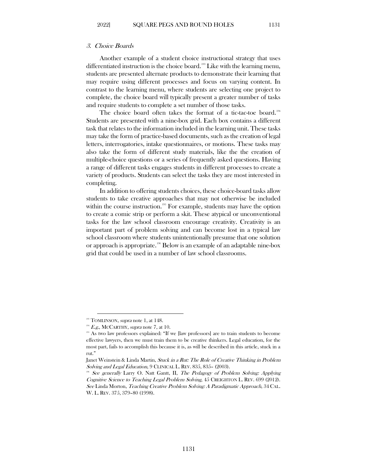<span id="page-38-0"></span>Another example of a student choice instructional strategy that uses differentiated instruction is the choice board.<sup>198</sup> Like with the learning menu, students are presented alternate products to demonstrate their learning that may require using different processes and focus on varying content. In contrast to the learning menu, where students are selecting one project to complete, the choice board will typically present a greater number of tasks and require students to complete a set number of those tasks.

The choice board often takes the format of a tic-tac-toe board.<sup>[194](#page-38-2)</sup> Students are presented with a nine-box grid. Each box contains a different task that relates to the information included in the learning unit. These tasks may take the form of practice-based documents, such as the creation of legal letters, interrogatories, intake questionnaires, or motions. These tasks may also take the form of different study materials, like the the creation of multiple-choice questions or a series of frequently asked questions. Having a range of different tasks engages students in different processes to create a variety of products. Students can select the tasks they are most interested in completing.

In addition to offering students choices, these choice-board tasks allow students to take creative approaches that may not otherwise be included within the course instruction.<sup>[195](#page-38-3)</sup> For example, students may have the option to create a comic strip or perform a skit. These atypical or unconventional tasks for the law school classroom encourage creativity. Creativity is an important part of problem solving and can become lost in a typical law school classroom where students unintentionally presume that one solution or approach is appropriate. [196](#page-38-4) Below is an example of an adaptable nine-box grid that could be used in a number of law school classrooms.

<span id="page-38-1"></span><sup>&</sup>lt;sup>193</sup> TOMLINSON, *supra* note 1, at 148.

 $194$  *E.g.*, MCCARTHY, *supra* note 7, at 10.

<span id="page-38-3"></span><span id="page-38-2"></span><sup>&</sup>lt;sup>195</sup> As two law professors explained: "If we [law professors] are to train students to become effective lawyers, then we must train them to be creative thinkers. Legal education, for the most part, fails to accomplish this because it is, as will be described in this article, stuck in a rut."

Janet Weinstein & Linda Martin, Stuck in a Rut: The Role of Creative Thinking in Problem Solving and Legal Education, 9 CLINICAL L. REV. 835, 835– (2003).<br><sup>196</sup> See generally Larry O. Natt Gantt, II, *The Pedagogy of Problem Solving: Applying* 

<span id="page-38-4"></span>Cognitive Science to Teaching Legal Problem Solving, 45 CREIGHTON L. REV. 699 (2012). See Linda Morton, Teaching Creative Problem Solving: A Paradigmatic Approach, 34 CAL. W. L. REV. 375, 379–80 (1998).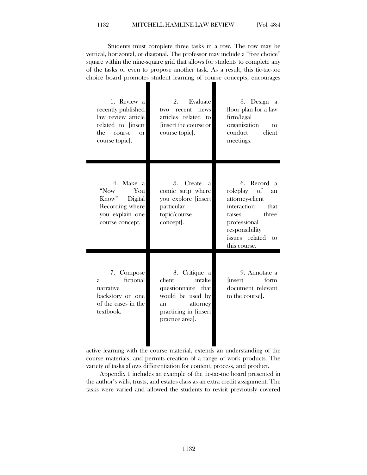#### 1132 MITCHELL HAMLINE LAW REVIEW [Vol. 48:4

 Students must complete three tasks in a row. The row may be vertical, horizontal, or diagonal. The professor may include a "free choice" square within the nine-square grid that allows for students to complete any of the tasks or even to propose another task. As a result, this tic-tac-toe choice board promotes student learning of course concepts, encourages

| 1. Review a<br>recently published<br>law review article<br>related to [insert<br>the<br>course<br>$\alpha$<br>course topic. | Evaluate<br>2.<br>two recent news<br>articles related to<br>linsert the course or<br>course topic].                                        | 3. Design a<br>floor plan for a law<br>firm/legal<br>organization<br>to<br>conduct<br>client<br>meetings.                                                                  |
|-----------------------------------------------------------------------------------------------------------------------------|--------------------------------------------------------------------------------------------------------------------------------------------|----------------------------------------------------------------------------------------------------------------------------------------------------------------------------|
| 4. Make a<br>"Now<br>You<br>Know"<br>Digital<br>Recording where<br>you explain one<br>course concept.                       | Create<br>5.<br>a.<br>comic strip where<br>you explore [insert<br>particular<br>topic/course<br>concept.                                   | Record a<br>6.<br>roleplay of<br>an<br>attorney-client<br>interaction<br>that<br>three<br>raises<br>professional<br>responsibility<br>issues related<br>tο<br>this course. |
| 7. Compose<br>fictional<br>a.<br>narrative<br>backstory on one<br>of the cases in the<br>textbook.                          | 8. Critique a<br>client<br>intake<br>questionnaire that<br>would be used by<br>attorney<br>an<br>practicing in [insert]<br>practice area]. | 9. Annotate a<br><i>linsert</i><br>form<br>document relevant<br>to the course].                                                                                            |

active learning with the course material, extends an understanding of the course materials, and permits creation of a range of work products. The variety of tasks allows differentiation for content, process, and product.

Appendix 1 includes an example of the tic-tac-toe board presented in the author's wills, trusts, and estates class as an extra credit assignment. The tasks were varied and allowed the students to revisit previously covered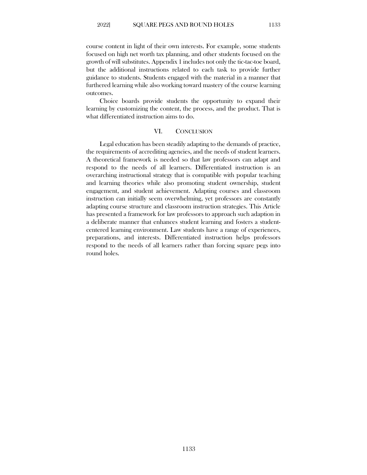course content in light of their own interests. For example, some students focused on high net worth tax planning, and other students focused on the growth of will substitutes. Appendix 1 includes not only the tic-tac-toe board, but the additional instructions related to each task to provide further guidance to students. Students engaged with the material in a manner that furthered learning while also working toward mastery of the course learning outcomes.

<span id="page-40-0"></span>Choice boards provide students the opportunity to expand their learning by customizing the content, the process, and the product. That is what differentiated instruction aims to do.

#### VI. CONCLUSION

Legal education has been steadily adapting to the demands of practice, the requirements of accrediting agencies, and the needs of student learners. A theoretical framework is needed so that law professors can adapt and respond to the needs of all learners. Differentiated instruction is an overarching instructional strategy that is compatible with popular teaching and learning theories while also promoting student ownership, student engagement, and student achievement. Adapting courses and classroom instruction can initially seem overwhelming, yet professors are constantly adapting course structure and classroom instruction strategies. This Article has presented a framework for law professors to approach such adaption in a deliberate manner that enhances student learning and fosters a studentcentered learning environment. Law students have a range of experiences, preparations, and interests. Differentiated instruction helps professors respond to the needs of all learners rather than forcing square pegs into round holes.

1133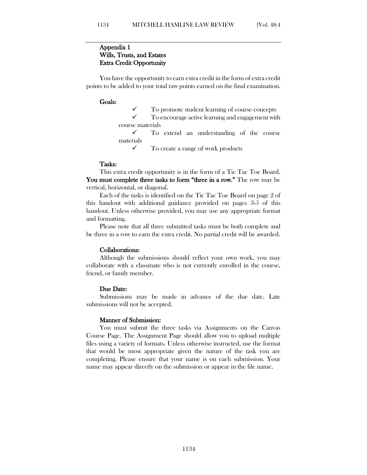## Appendix 1 Wills, Trusts, and Estates Extra Credit Opportunity

You have the opportunity to earn extra credit in the form of extra credit points to be added to your total raw points earned on the final examination.

#### Goals:

 $\checkmark$  To promote student learning of course concepts  $\checkmark$  To encourage active learning and encouragement with

 To encourage active learning and engagement with course materials

 To extend an understanding of the course materials

 $\checkmark$  To create a range of work products

#### Tasks:

This extra credit opportunity is in the form of a Tic Tac Toe Board. You must complete three tasks to form "three in a row." The row may be vertical, horizontal, or diagonal.

Each of the tasks is identified on the Tic Tac Toe Board on page 2 of this handout with additional guidance provided on pages 3-5 of this handout. Unless otherwise provided, you may use any appropriate format and formatting.

Please note that all three submitted tasks must be both complete and be three in a row to earn the extra credit. No partial credit will be awarded.

#### Collaborations:

Although the submissions should reflect your own work, you may collaborate with a classmate who is not currently enrolled in the course, friend, or family member.

#### Due Date:

Submissions may be made in advance of the due date. Late submissions will not be accepted.

#### Manner of Submission:

You must submit the three tasks via Assignments on the Canvas Course Page. The Assignment Page should allow you to upload multiple files using a variety of formats. Unless otherwise instructed, use the format that would be most appropriate given the nature of the task you are completing. Please ensure that your name is on each submission. Your name may appear directly on the submission or appear in the file name.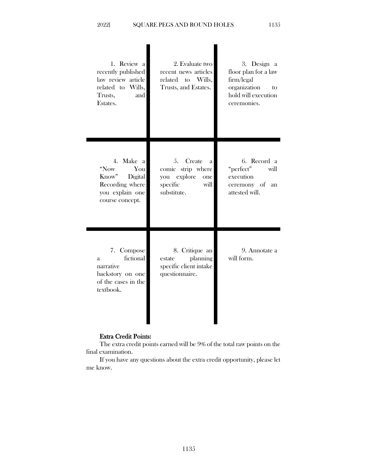| 1. Review a<br>recently published<br>law review article<br>related to Wills,<br>Trusts,<br>and<br>Estates. | 2. Evaluate two<br>recent news articles<br>related to Wills,<br>Trusts, and Estates.               | 3. Design a<br>floor plan for a law<br>firm/legal<br>organization<br>to<br>hold will execution<br>ceremonies. |
|------------------------------------------------------------------------------------------------------------|----------------------------------------------------------------------------------------------------|---------------------------------------------------------------------------------------------------------------|
| 4. Make a<br>"Now<br>You<br>Know"<br>Digital<br>Recording where<br>you explain one<br>course concept.      | Create<br>5.<br>a<br>comic strip where<br>explore<br>you<br>one<br>specific<br>will<br>substitute. | 6. Record a<br>"perfect"<br>will<br>execution<br>ceremony of<br>an<br>attested will.                          |
| 7. Compose<br>fictional<br>a.<br>narrative<br>backstory on one<br>of the cases in the<br>textbook.         | 8. Critique an<br>planning<br>estate<br>specific client intake<br>questionnaire.                   | 9. Annotate a<br>will form.                                                                                   |

## Extra Credit Points:

The extra credit points earned will be 9% of the total raw points on the final examination.

If you have any questions about the extra credit opportunity, please let me know.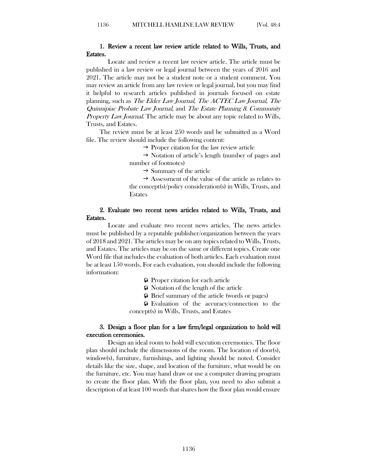## 1. Review a recent law review article related to Wills, Trusts, and Estates.

Locate and review a recent law review article. The article must be published in a law review or legal journal between the years of 2016 and 2021. The article may not be a student note or a student comment. You may review an article from any law review or legal journal, but you may find it helpful to research articles published in journals focused on estate planning, such as The Elder Law Journal, The ACTEC Law Journal, The Quinnipiac Probate Law Journal, and The Estate Planning & Community Property Law Journal. The article may be about any topic related to Wills, Trusts, and Estates.

The review must be at least 250 words and be submitted as a Word file. The review should include the following content:

 $\rightarrow$  Proper citation for the law review article

 $\rightarrow$  Notation of article's length (number of pages and number of footnotes)

 $\rightarrow$  Summary of the article

 $\rightarrow$  Assessment of the value of the article as relates to the concept(s)/policy consideration(s) in Wills, Trusts, and Estates

## 2. Evaluate two recent news articles related to Wills, Trusts, and Estates.

Locate and evaluate two recent news articles. The news articles must be published by a reputable publisher/organization between the years of 2018 and 2021. The articles may be on any topics related to Wills, Trusts, and Estates. The articles may be on the same or different topics. Create one Word file that includes the evaluation of both articles. Each evaluation must be at least 150 words. For each evaluation, you should include the following information:

**Proper citation for each article** 

 $\odot$  Notation of the length of the article

 $\odot$  Brief summary of the article (words or pages)

**O** Evaluation of the accuracy/connection to the concept(s) in Wills, Trusts, and Estates

## 3. Design a floor plan for a law firm/legal organization to hold will execution ceremonies.

Design an ideal room to hold will execution ceremonies. The floor plan should include the dimensions of the room. The location of door(s), window(s), furniture, furnishings, and lighting should be noted. Consider details like the size, shape, and location of the furniture, what would be on the furniture, etc. You may hand draw or use a computer drawing program to create the floor plan. With the floor plan, you need to also submit a description of at least 100 words that shares how the floor plan would ensure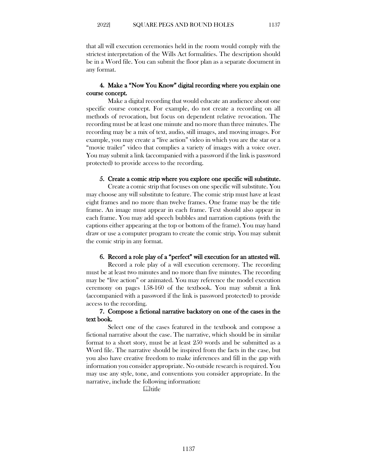that all will execution ceremonies held in the room would comply with the strictest interpretation of the Wills Act formalities. The description should be in a Word file. You can submit the floor plan as a separate document in any format.

## 4. Make a "Now You Know" digital recording where you explain one course concept.

Make a digital recording that would educate an audience about one specific course concept. For example, do not create a recording on all methods of revocation, but focus on dependent relative revocation. The recording must be at least one minute and no more than three minutes. The recording may be a mix of text, audio, still images, and moving images. For example, you may create a "live action" video in which you are the star or a "movie trailer" video that complies a variety of images with a voice over. You may submit a link (accompanied with a password if the link is password protected) to provide access to the recording.

#### 5. Create a comic strip where you explore one specific will substitute.

Create a comic strip that focuses on one specific will substitute. You may choose any will substitute to feature. The comic strip must have at least eight frames and no more than twelve frames. One frame may be the title frame. An image must appear in each frame. Text should also appear in each frame. You may add speech bubbles and narration captions (with the captions either appearing at the top or bottom of the frame). You may hand draw or use a computer program to create the comic strip. You may submit the comic strip in any format.

## 6. Record a role play of a "perfect" will execution for an attested will.

Record a role play of a will execution ceremony. The recording must be at least two minutes and no more than five minutes. The recording may be "live action" or animated. You may reference the model execution ceremony on pages 158-160 of the textbook. You may submit a link (accompanied with a password if the link is password protected) to provide access to the recording.

### 7. Compose a fictional narrative backstory on one of the cases in the text book.

 Select one of the cases featured in the textbook and compose a fictional narrative about the case. The narrative, which should be in similar format to a short story, must be at least 250 words and be submitted as a Word file. The narrative should be inspired from the facts in the case, but you also have creative freedom to make inferences and fill in the gap with information you consider appropriate. No outside research is required. You may use any style, tone, and conventions you consider appropriate. In the narrative, include the following information:

**Quantitie**